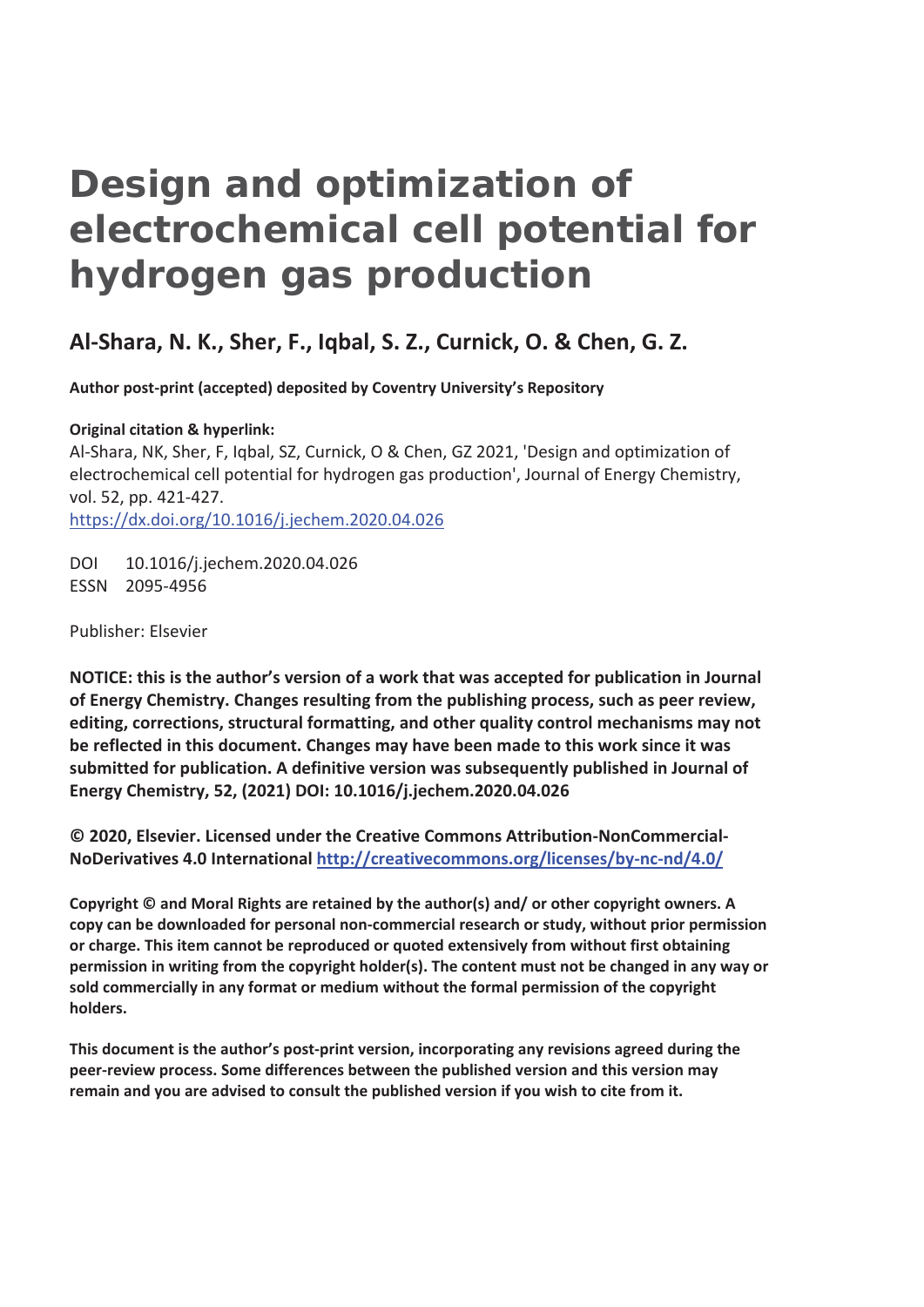# **Design and optimization of electrochemical cell potential for hydrogen gas production**

# **Al-Shara, N. K., Sher, F., Iqbal, S. Z., Curnick, O. & Chen, G. Z.**

**Author post-print (accepted) deposited by Coventry University's Repository** 

**Original citation & hyperlink:** Al-Shara, NK, Sher, F, Iqbal, SZ, Curnick, O & Chen, GZ 2021, 'Design and optimization of electrochemical cell potential for hydrogen gas production', Journal of Energy Chemistry, vol. 52, pp. 421-427. https://dx.doi.org/10.1016/j.jechem.2020.04.026

DOI 10.1016/j.jechem.2020.04.026 ESSN 2095-4956

Publisher: Elsevier

**NOTICE: this is the author's version of a work that was accepted for publication in Journal of Energy Chemistry. Changes resulting from the publishing process, such as peer review, editing, corrections, structural formatting, and other quality control mechanisms may not be reflected in this document. Changes may have been made to this work since it was submitted for publication. A definitive version was subsequently published in Journal of Energy Chemistry, 52, (2021) DOI: 10.1016/j.jechem.2020.04.026** 

**© 2020, Elsevier. Licensed under the Creative Commons Attribution-NonCommercial-NoDerivatives 4.0 International http://creativecommons.org/licenses/by-nc-nd/4.0/**

**Copyright © and Moral Rights are retained by the author(s) and/ or other copyright owners. A copy can be downloaded for personal non-commercial research or study, without prior permission or charge. This item cannot be reproduced or quoted extensively from without first obtaining permission in writing from the copyright holder(s). The content must not be changed in any way or sold commercially in any format or medium without the formal permission of the copyright holders.** 

**This document is the author's post-print version, incorporating any revisions agreed during the peer-review process. Some differences between the published version and this version may remain and you are advised to consult the published version if you wish to cite from it.**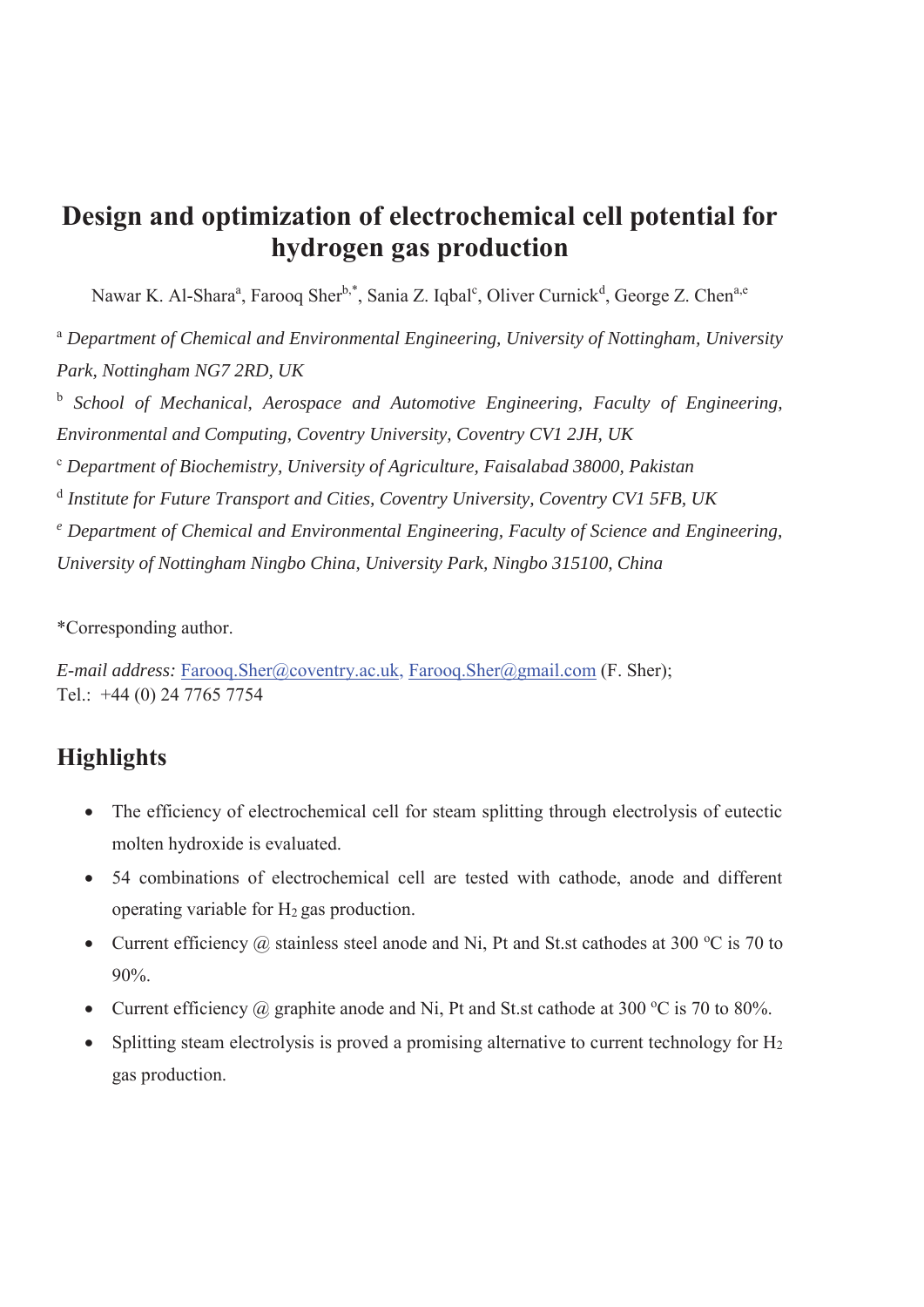# **Design and optimization of electrochemical cell potential for hydrogen gas production**

Nawar K. Al-Shara<sup>a</sup>, Farooq Sher<sup>b,\*</sup>, Sania Z. Iqbal<sup>c</sup>, Oliver Curnick<sup>d</sup>, George Z. Chen<sup>a,e</sup>

<sup>a</sup> *Department of Chemical and Environmental Engineering, University of Nottingham, University Park, Nottingham NG7 2RD, UK*

<sup>b</sup> *School of Mechanical, Aerospace and Automotive Engineering, Faculty of Engineering, Environmental and Computing, Coventry University, Coventry CV1 2JH, UK*

<sup>c</sup> *Department of Biochemistry, University of Agriculture, Faisalabad 38000, Pakistan*

<sup>d</sup> *Institute for Future Transport and Cities, Coventry University, Coventry CV1 5FB, UK* 

<sup>e</sup> Department of Chemical and Environmental Engineering, Faculty of Science and Engineering, *University of Nottingham Ningbo China, University Park, Ningbo 315100, China* 

\*Corresponding author.

*E-mail address:* Farooq.Sher@coventry.ac.uk, Farooq.Sher@gmail.com (F. Sher); Tel.: +44 (0) 24 7765 7754

# **Highlights**

- The efficiency of electrochemical cell for steam splitting through electrolysis of eutectic molten hydroxide is evaluated.
- 54 combinations of electrochemical cell are tested with cathode, anode and different operating variable for  $H_2$  gas production.
- Current efficiency  $\omega$  stainless steel anode and Ni, Pt and St.st cathodes at 300 °C is 70 to 90%.
- Current efficiency  $\omega$  graphite anode and Ni, Pt and St.st cathode at 300 °C is 70 to 80%.
- Splitting steam electrolysis is proved a promising alternative to current technology for  $H_2$ gas production.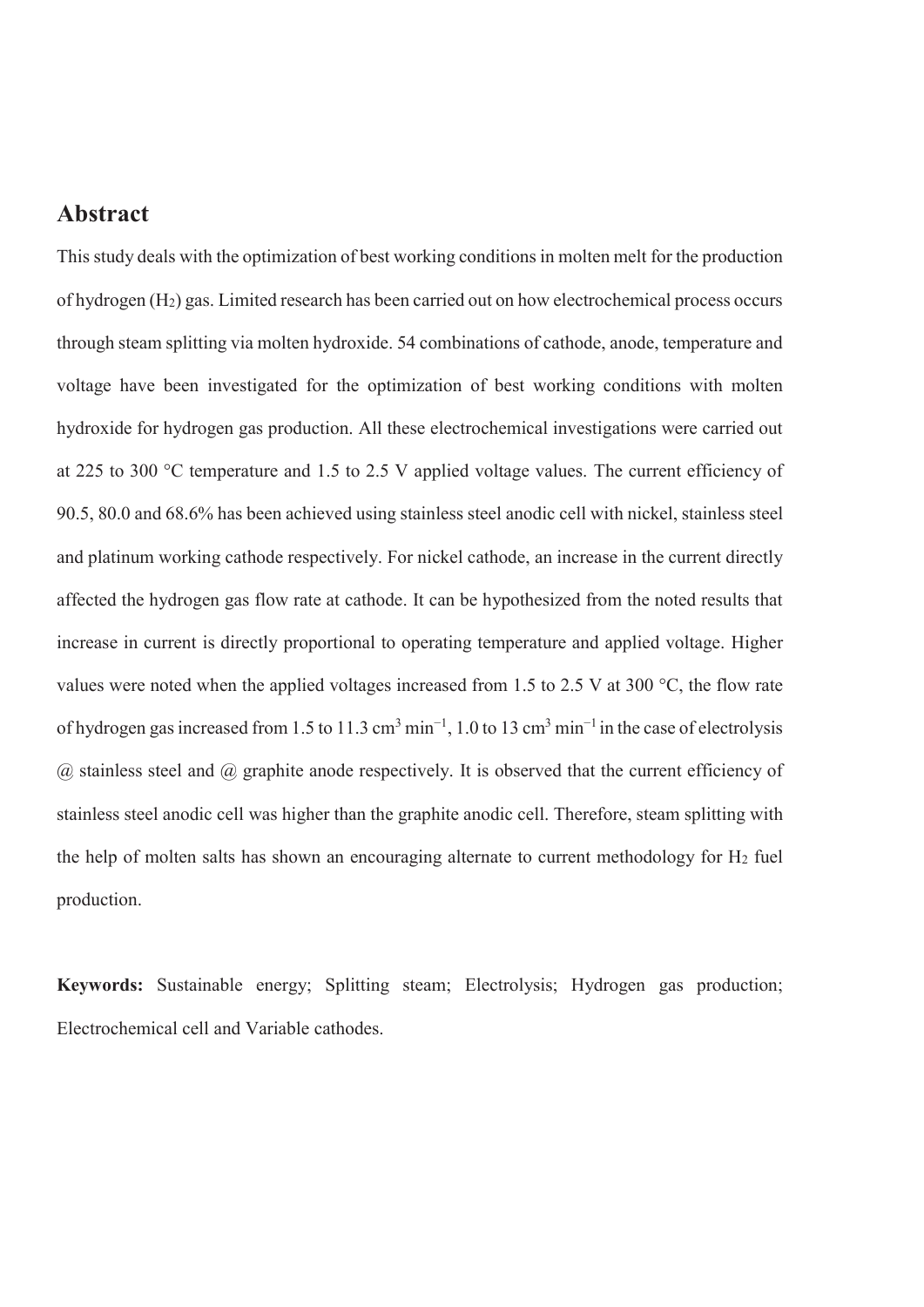### **Abstract**

This study deals with the optimization of best working conditions in molten melt for the production of hydrogen (H2) gas. Limited research has been carried out on how electrochemical process occurs through steam splitting via molten hydroxide. 54 combinations of cathode, anode, temperature and voltage have been investigated for the optimization of best working conditions with molten hydroxide for hydrogen gas production. All these electrochemical investigations were carried out at 225 to 300 °C temperature and 1.5 to 2.5 V applied voltage values. The current efficiency of 90.5, 80.0 and 68.6% has been achieved using stainless steel anodic cell with nickel, stainless steel and platinum working cathode respectively. For nickel cathode, an increase in the current directly affected the hydrogen gas flow rate at cathode. It can be hypothesized from the noted results that increase in current is directly proportional to operating temperature and applied voltage. Higher values were noted when the applied voltages increased from 1.5 to 2.5 V at 300 °C, the flow rate of hydrogen gas increased from 1.5 to 11.3 cm<sup>3</sup> min<sup>-1</sup>, 1.0 to 13 cm<sup>3</sup> min<sup>-1</sup> in the case of electrolysis  $\omega$  stainless steel and  $\omega$  graphite anode respectively. It is observed that the current efficiency of stainless steel anodic cell was higher than the graphite anodic cell. Therefore, steam splitting with the help of molten salts has shown an encouraging alternate to current methodology for  $H_2$  fuel production.

**Keywords:** Sustainable energy; Splitting steam; Electrolysis; Hydrogen gas production; Electrochemical cell and Variable cathodes.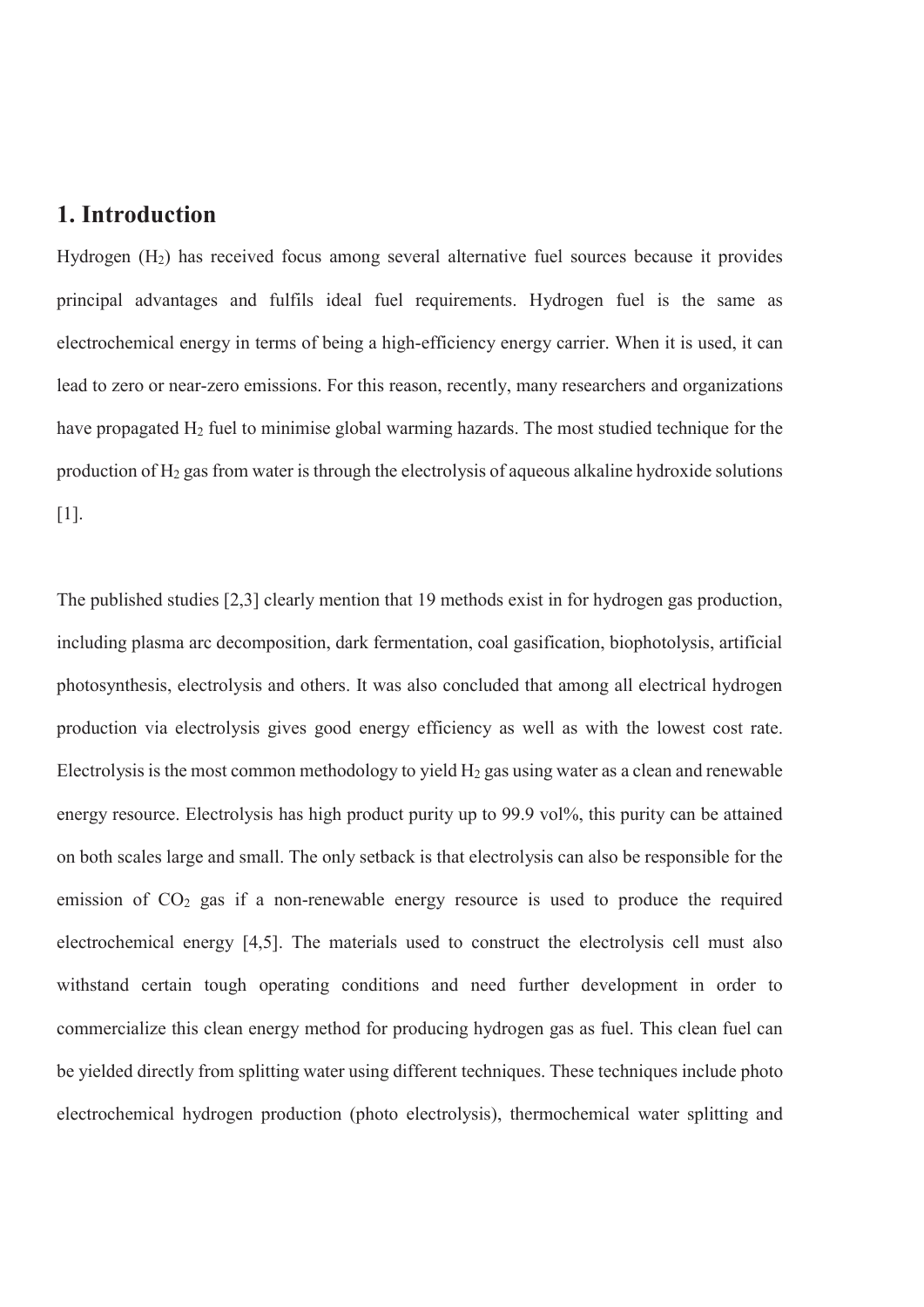### **1. Introduction**

Hydrogen (H2) has received focus among several alternative fuel sources because it provides principal advantages and fulfils ideal fuel requirements. Hydrogen fuel is the same as electrochemical energy in terms of being a high-efficiency energy carrier. When it is used, it can lead to zero or near-zero emissions. For this reason, recently, many researchers and organizations have propagated H<sub>2</sub> fuel to minimise global warming hazards. The most studied technique for the production of  $H_2$  gas from water is through the electrolysis of aqueous alkaline hydroxide solutions [1].

The published studies [2,3] clearly mention that 19 methods exist in for hydrogen gas production, including plasma arc decomposition, dark fermentation, coal gasification, biophotolysis, artificial photosynthesis, electrolysis and others. It was also concluded that among all electrical hydrogen production via electrolysis gives good energy efficiency as well as with the lowest cost rate. Electrolysis is the most common methodology to yield  $H_2$  gas using water as a clean and renewable energy resource. Electrolysis has high product purity up to 99.9 vol<sup>%</sup>, this purity can be attained on both scales large and small. The only setback is that electrolysis can also be responsible for the emission of  $CO<sub>2</sub>$  gas if a non-renewable energy resource is used to produce the required electrochemical energy [4,5]. The materials used to construct the electrolysis cell must also withstand certain tough operating conditions and need further development in order to commercialize this clean energy method for producing hydrogen gas as fuel. This clean fuel can be yielded directly from splitting water using different techniques. These techniques include photo electrochemical hydrogen production (photo electrolysis), thermochemical water splitting and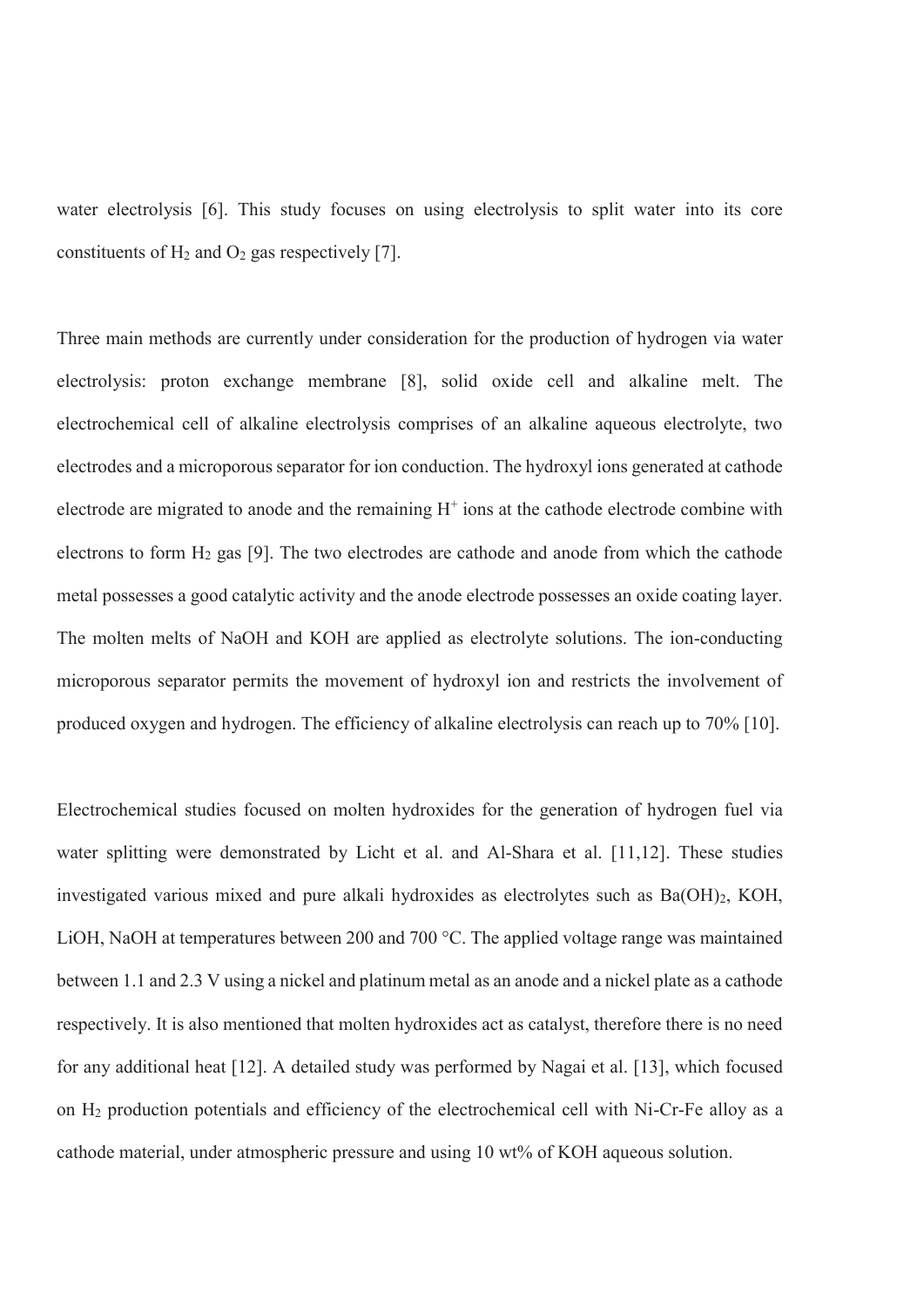water electrolysis [6]. This study focuses on using electrolysis to split water into its core constituents of  $H_2$  and  $O_2$  gas respectively [7].

Three main methods are currently under consideration for the production of hydrogen via water electrolysis: proton exchange membrane [8], solid oxide cell and alkaline melt. The electrochemical cell of alkaline electrolysis comprises of an alkaline aqueous electrolyte, two electrodes and a microporous separator for ion conduction. The hydroxyl ions generated at cathode electrode are migrated to anode and the remaining  $H^+$  ions at the cathode electrode combine with electrons to form  $H_2$  gas [9]. The two electrodes are cathode and anode from which the cathode metal possesses a good catalytic activity and the anode electrode possesses an oxide coating layer. The molten melts of NaOH and KOH are applied as electrolyte solutions. The ion-conducting microporous separator permits the movement of hydroxyl ion and restricts the involvement of produced oxygen and hydrogen. The efficiency of alkaline electrolysis can reach up to 70% [10].

Electrochemical studies focused on molten hydroxides for the generation of hydrogen fuel via water splitting were demonstrated by Licht et al. and Al-Shara et al. [11,12]. These studies investigated various mixed and pure alkali hydroxides as electrolytes such as Ba(OH)2, KOH, LiOH, NaOH at temperatures between 200 and 700 °C. The applied voltage range was maintained between 1.1 and 2.3 V using a nickel and platinum metal as an anode and a nickel plate as a cathode respectively. It is also mentioned that molten hydroxides act as catalyst, therefore there is no need for any additional heat [12]. A detailed study was performed by Nagai et al. [13], which focused on H2 production potentials and efficiency of the electrochemical cell with Ni-Cr-Fe alloy as a cathode material, under atmospheric pressure and using 10 wt% of KOH aqueous solution.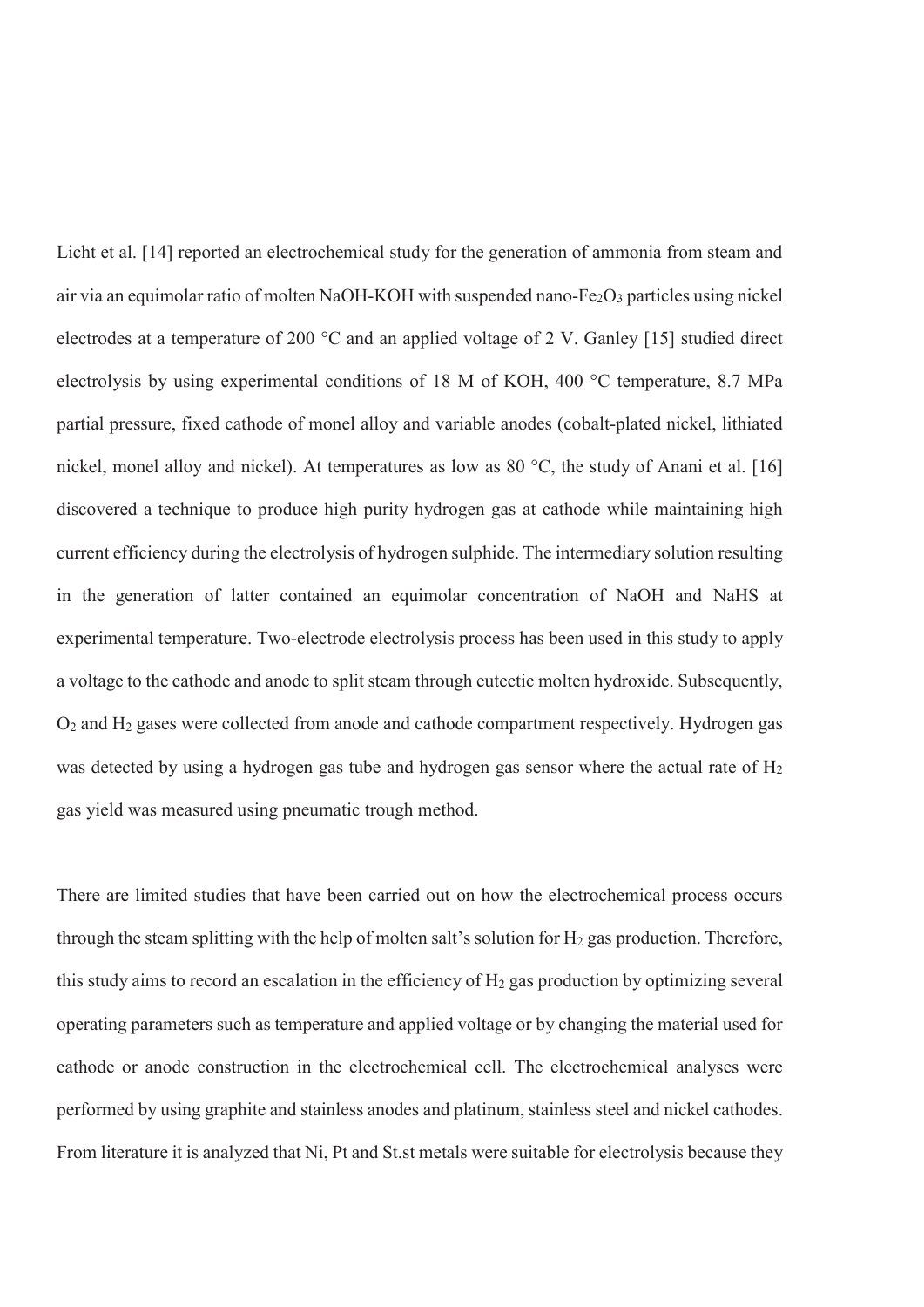Licht et al. [14] reported an electrochemical study for the generation of ammonia from steam and air via an equimolar ratio of molten NaOH-KOH with suspended nano-Fe<sub>2</sub>O<sub>3</sub> particles using nickel electrodes at a temperature of 200 °C and an applied voltage of 2 V. Ganley [15] studied direct electrolysis by using experimental conditions of 18 M of KOH, 400 °C temperature, 8.7 MPa partial pressure, fixed cathode of monel alloy and variable anodes (cobalt-plated nickel, lithiated nickel, monel alloy and nickel). At temperatures as low as 80 °C, the study of Anani et al. [16] discovered a technique to produce high purity hydrogen gas at cathode while maintaining high current efficiency during the electrolysis of hydrogen sulphide. The intermediary solution resulting in the generation of latter contained an equimolar concentration of NaOH and NaHS at experimental temperature. Two-electrode electrolysis process has been used in this study to apply a voltage to the cathode and anode to split steam through eutectic molten hydroxide. Subsequently, O2 and H2 gases were collected from anode and cathode compartment respectively. Hydrogen gas was detected by using a hydrogen gas tube and hydrogen gas sensor where the actual rate of H<sub>2</sub> gas yield was measured using pneumatic trough method.

There are limited studies that have been carried out on how the electrochemical process occurs through the steam splitting with the help of molten salt's solution for  $H_2$  gas production. Therefore, this study aims to record an escalation in the efficiency of  $H_2$  gas production by optimizing several operating parameters such as temperature and applied voltage or by changing the material used for cathode or anode construction in the electrochemical cell. The electrochemical analyses were performed by using graphite and stainless anodes and platinum, stainless steel and nickel cathodes. From literature it is analyzed that Ni, Pt and St.st metals were suitable for electrolysis because they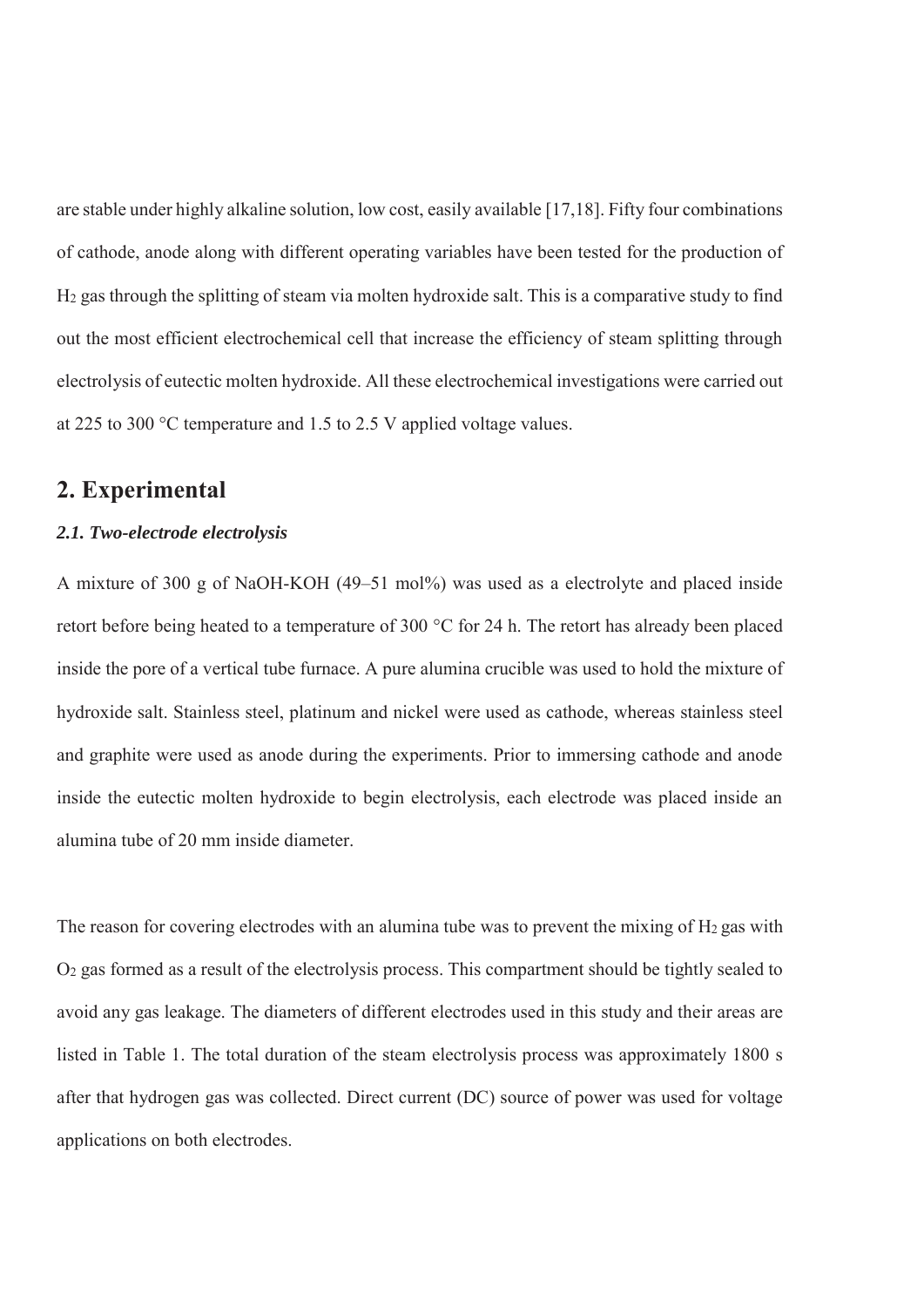are stable under highly alkaline solution, low cost, easily available [17,18]. Fifty four combinations of cathode, anode along with different operating variables have been tested for the production of H2 gas through the splitting of steam via molten hydroxide salt. This is a comparative study to find out the most efficient electrochemical cell that increase the efficiency of steam splitting through electrolysis of eutectic molten hydroxide. All these electrochemical investigations were carried out at 225 to 300 °C temperature and 1.5 to 2.5 V applied voltage values.

# **2. Experimental**

#### *2.1. Two-electrode electrolysis*

A mixture of 300 g of NaOH-KOH (49–51 mol%) was used as a electrolyte and placed inside retort before being heated to a temperature of 300 °C for 24 h. The retort has already been placed inside the pore of a vertical tube furnace. A pure alumina crucible was used to hold the mixture of hydroxide salt. Stainless steel, platinum and nickel were used as cathode, whereas stainless steel and graphite were used as anode during the experiments. Prior to immersing cathode and anode inside the eutectic molten hydroxide to begin electrolysis, each electrode was placed inside an alumina tube of 20 mm inside diameter.

The reason for covering electrodes with an alumina tube was to prevent the mixing of  $H_2$  gas with O2 gas formed as a result of the electrolysis process. This compartment should be tightly sealed to avoid any gas leakage. The diameters of different electrodes used in this study and their areas are listed in Table 1. The total duration of the steam electrolysis process was approximately 1800 s after that hydrogen gas was collected. Direct current (DC) source of power was used for voltage applications on both electrodes.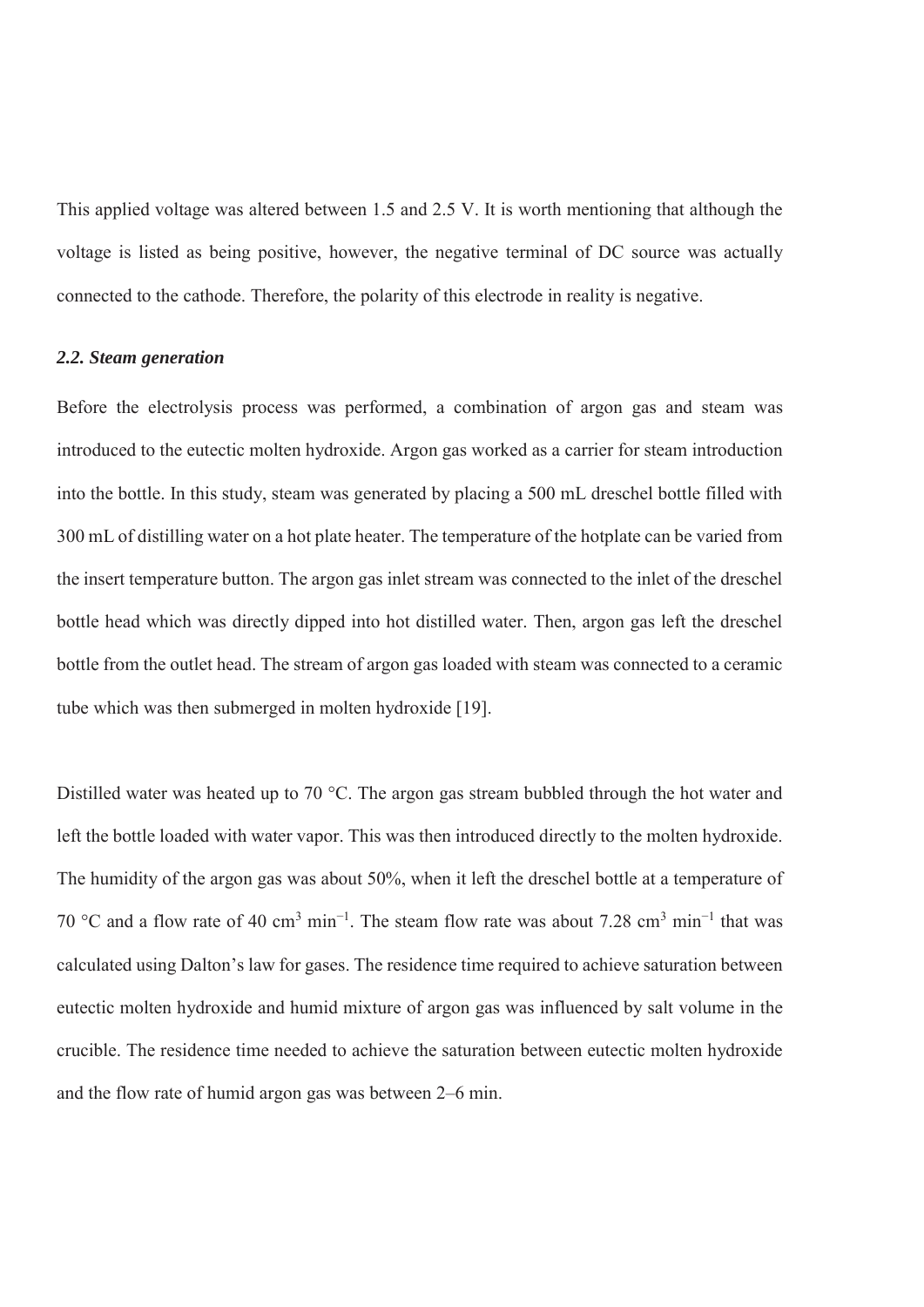This applied voltage was altered between 1.5 and 2.5 V. It is worth mentioning that although the voltage is listed as being positive, however, the negative terminal of DC source was actually connected to the cathode. Therefore, the polarity of this electrode in reality is negative.

#### *2.2. Steam generation*

Before the electrolysis process was performed, a combination of argon gas and steam was introduced to the eutectic molten hydroxide. Argon gas worked as a carrier for steam introduction into the bottle. In this study, steam was generated by placing a 500 mL dreschel bottle filled with 300 mL of distilling water on a hot plate heater. The temperature of the hotplate can be varied from the insert temperature button. The argon gas inlet stream was connected to the inlet of the dreschel bottle head which was directly dipped into hot distilled water. Then, argon gas left the dreschel bottle from the outlet head. The stream of argon gas loaded with steam was connected to a ceramic tube which was then submerged in molten hydroxide [19].

Distilled water was heated up to 70 °C. The argon gas stream bubbled through the hot water and left the bottle loaded with water vapor. This was then introduced directly to the molten hydroxide. The humidity of the argon gas was about 50%, when it left the dreschel bottle at a temperature of 70 °C and a flow rate of 40 cm<sup>3</sup> min<sup>-1</sup>. The steam flow rate was about 7.28 cm<sup>3</sup> min<sup>-1</sup> that was calculated using Dalton's law for gases. The residence time required to achieve saturation between eutectic molten hydroxide and humid mixture of argon gas was influenced by salt volume in the crucible. The residence time needed to achieve the saturation between eutectic molten hydroxide and the flow rate of humid argon gas was between 2–6 min.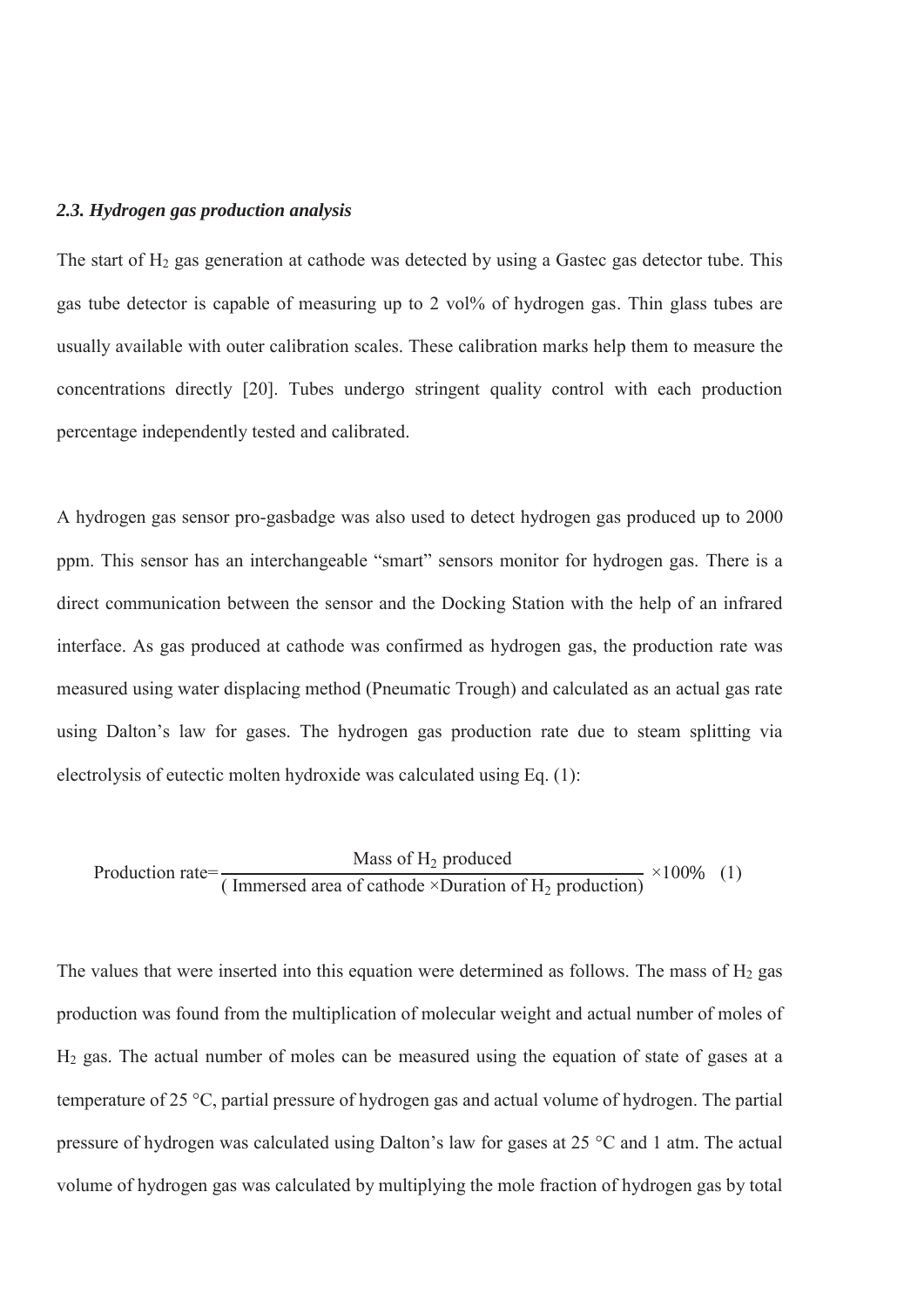#### *2.3. Hydrogen gas production analysis*

The start of  $H_2$  gas generation at cathode was detected by using a Gastec gas detector tube. This gas tube detector is capable of measuring up to 2 vol% of hydrogen gas. Thin glass tubes are usually available with outer calibration scales. These calibration marks help them to measure the concentrations directly [20]. Tubes undergo stringent quality control with each production percentage independently tested and calibrated.

A hydrogen gas sensor pro-gasbadge was also used to detect hydrogen gas produced up to 2000 ppm. This sensor has an interchangeable "smart" sensors monitor for hydrogen gas. There is a direct communication between the sensor and the Docking Station with the help of an infrared interface. As gas produced at cathode was confirmed as hydrogen gas, the production rate was measured using water displacing method (Pneumatic Trough) and calculated as an actual gas rate using Dalton's law for gases. The hydrogen gas production rate due to steam splitting via electrolysis of eutectic molten hydroxide was calculated using Eq. (1):

$$
Production rate = \frac{Mass of H2 produced}{(Immersed area of cathode ×Duration of H2 production)} × 100\% (1)
$$

The values that were inserted into this equation were determined as follows. The mass of  $H_2$  gas production was found from the multiplication of molecular weight and actual number of moles of H2 gas. The actual number of moles can be measured using the equation of state of gases at a temperature of 25 °C, partial pressure of hydrogen gas and actual volume of hydrogen. The partial pressure of hydrogen was calculated using Dalton's law for gases at 25 °C and 1 atm. The actual volume of hydrogen gas was calculated by multiplying the mole fraction of hydrogen gas by total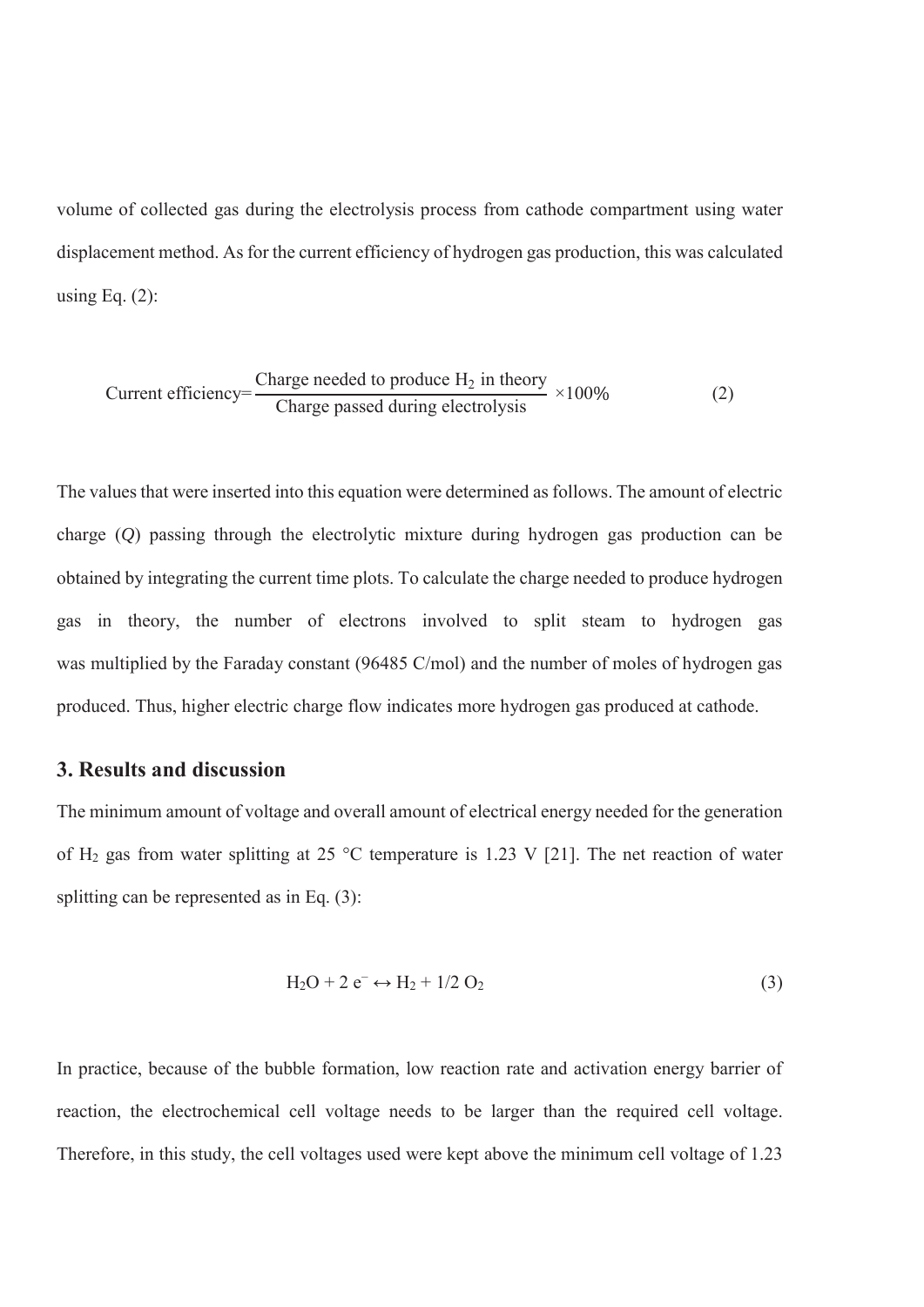volume of collected gas during the electrolysis process from cathode compartment using water displacement method. As for the current efficiency of hydrogen gas production, this was calculated using Eq.  $(2)$ :

Current efficiency=
$$
\frac{\text{Change needed to produce H}_2 \text{ in theory}}{\text{Change passed during electrolysis}} \times 100\%
$$
 (2)

The values that were inserted into this equation were determined as follows. The amount of electric charge (*Q*) passing through the electrolytic mixture during hydrogen gas production can be obtained by integrating the current time plots. To calculate the charge needed to produce hydrogen gas in theory, the number of electrons involved to split steam to hydrogen gas was multiplied by the Faraday constant (96485 C/mol) and the number of moles of hydrogen gas produced. Thus, higher electric charge flow indicates more hydrogen gas produced at cathode.

#### **3. Results and discussion**

The minimum amount of voltage and overall amount of electrical energy needed for the generation of H2 gas from water splitting at 25 °C temperature is 1.23 V [21]. The net reaction of water splitting can be represented as in Eq. (3):

$$
H_2O + 2 e^- \leftrightarrow H_2 + 1/2 O_2 \tag{3}
$$

In practice, because of the bubble formation, low reaction rate and activation energy barrier of reaction, the electrochemical cell voltage needs to be larger than the required cell voltage. Therefore, in this study, the cell voltages used were kept above the minimum cell voltage of 1.23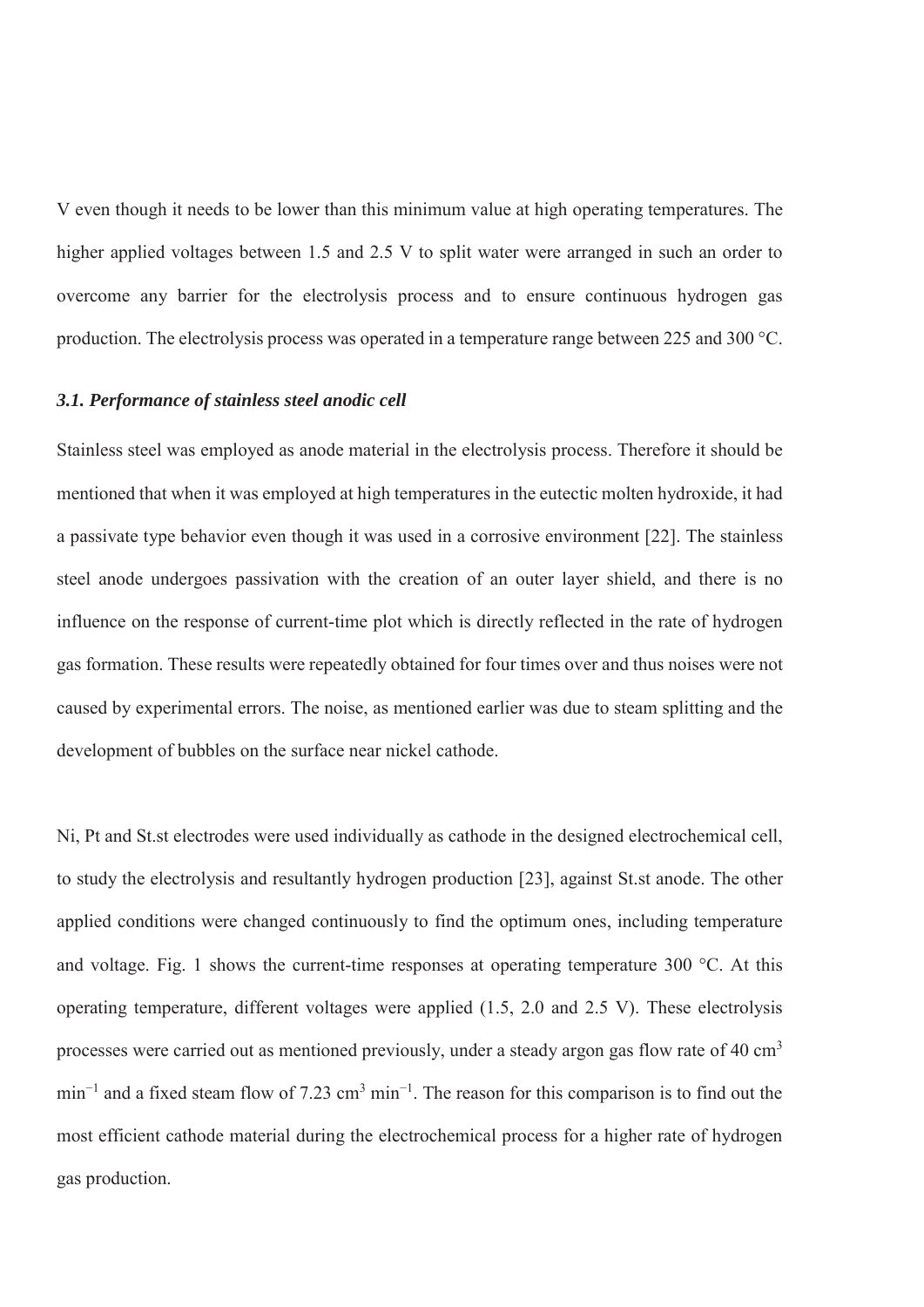V even though it needs to be lower than this minimum value at high operating temperatures. The higher applied voltages between 1.5 and 2.5 V to split water were arranged in such an order to overcome any barrier for the electrolysis process and to ensure continuous hydrogen gas production. The electrolysis process was operated in a temperature range between 225 and 300 °C.

#### *3.1. Performance of stainless steel anodic cell*

Stainless steel was employed as anode material in the electrolysis process. Therefore it should be mentioned that when it was employed at high temperatures in the eutectic molten hydroxide, it had a passivate type behavior even though it was used in a corrosive environment [22]. The stainless steel anode undergoes passivation with the creation of an outer layer shield, and there is no influence on the response of current-time plot which is directly reflected in the rate of hydrogen gas formation. These results were repeatedly obtained for four times over and thus noises were not caused by experimental errors. The noise, as mentioned earlier was due to steam splitting and the development of bubbles on the surface near nickel cathode.

Ni, Pt and St.st electrodes were used individually as cathode in the designed electrochemical cell, to study the electrolysis and resultantly hydrogen production [23], against St.st anode. The other applied conditions were changed continuously to find the optimum ones, including temperature and voltage. Fig. 1 shows the current-time responses at operating temperature 300 °C. At this operating temperature, different voltages were applied (1.5, 2.0 and 2.5 V). These electrolysis processes were carried out as mentioned previously, under a steady argon gas flow rate of 40  $\text{cm}^3$ min<sup>-1</sup> and a fixed steam flow of 7.23 cm<sup>3</sup> min<sup>-1</sup>. The reason for this comparison is to find out the most efficient cathode material during the electrochemical process for a higher rate of hydrogen gas production.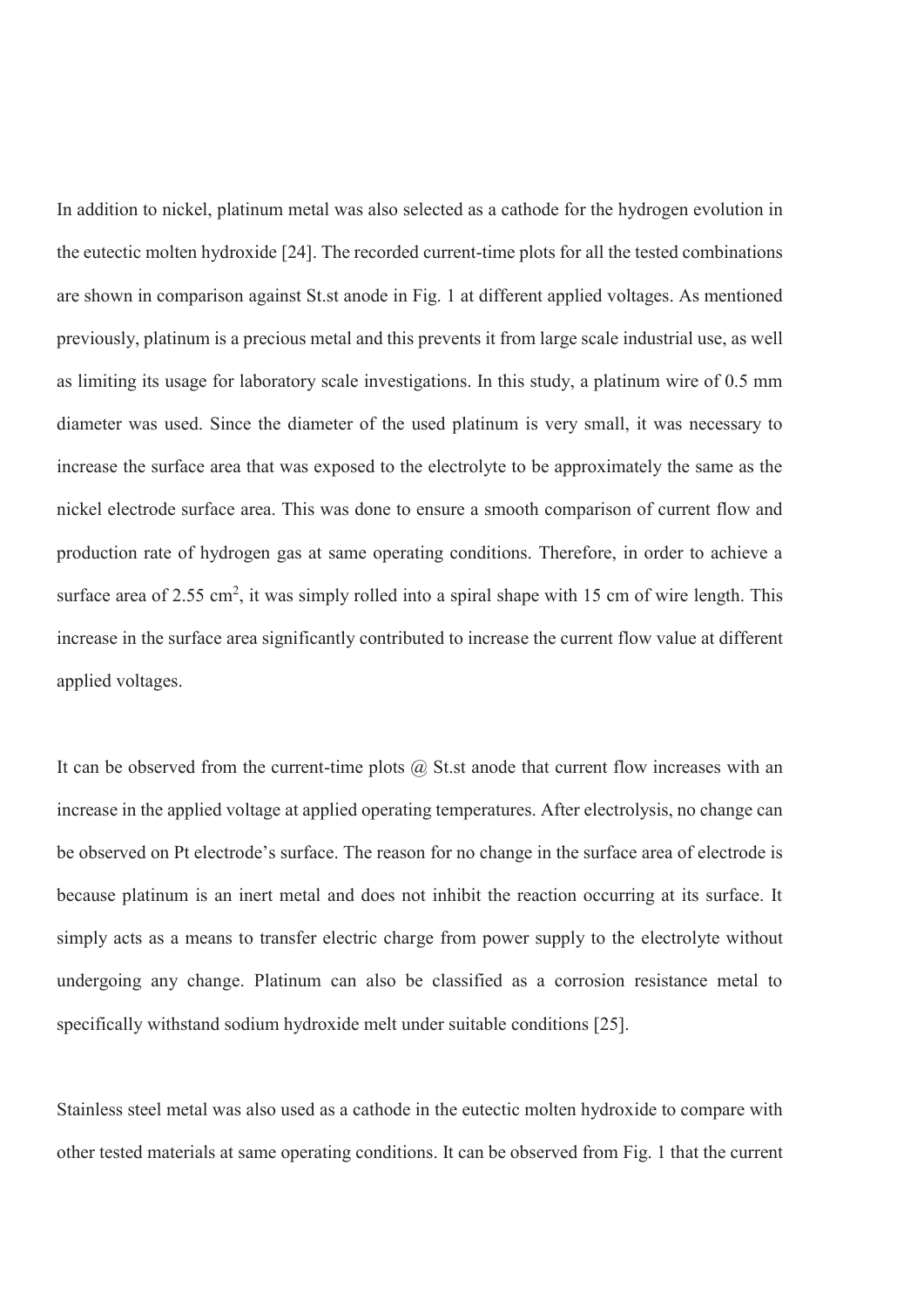In addition to nickel, platinum metal was also selected as a cathode for the hydrogen evolution in the eutectic molten hydroxide [24]. The recorded current-time plots for all the tested combinations are shown in comparison against St.st anode in Fig. 1 at different applied voltages. As mentioned previously, platinum is a precious metal and this prevents it from large scale industrial use, as well as limiting its usage for laboratory scale investigations. In this study, a platinum wire of 0.5 mm diameter was used. Since the diameter of the used platinum is very small, it was necessary to increase the surface area that was exposed to the electrolyte to be approximately the same as the nickel electrode surface area. This was done to ensure a smooth comparison of current flow and production rate of hydrogen gas at same operating conditions. Therefore, in order to achieve a surface area of 2.55 cm<sup>2</sup>, it was simply rolled into a spiral shape with 15 cm of wire length. This increase in the surface area significantly contributed to increase the current flow value at different applied voltages.

It can be observed from the current-time plots  $\omega$  St.st anode that current flow increases with an increase in the applied voltage at applied operating temperatures. After electrolysis, no change can be observed on Pt electrode's surface. The reason for no change in the surface area of electrode is because platinum is an inert metal and does not inhibit the reaction occurring at its surface. It simply acts as a means to transfer electric charge from power supply to the electrolyte without undergoing any change. Platinum can also be classified as a corrosion resistance metal to specifically withstand sodium hydroxide melt under suitable conditions [25].

Stainless steel metal was also used as a cathode in the eutectic molten hydroxide to compare with other tested materials at same operating conditions. It can be observed from Fig. 1 that the current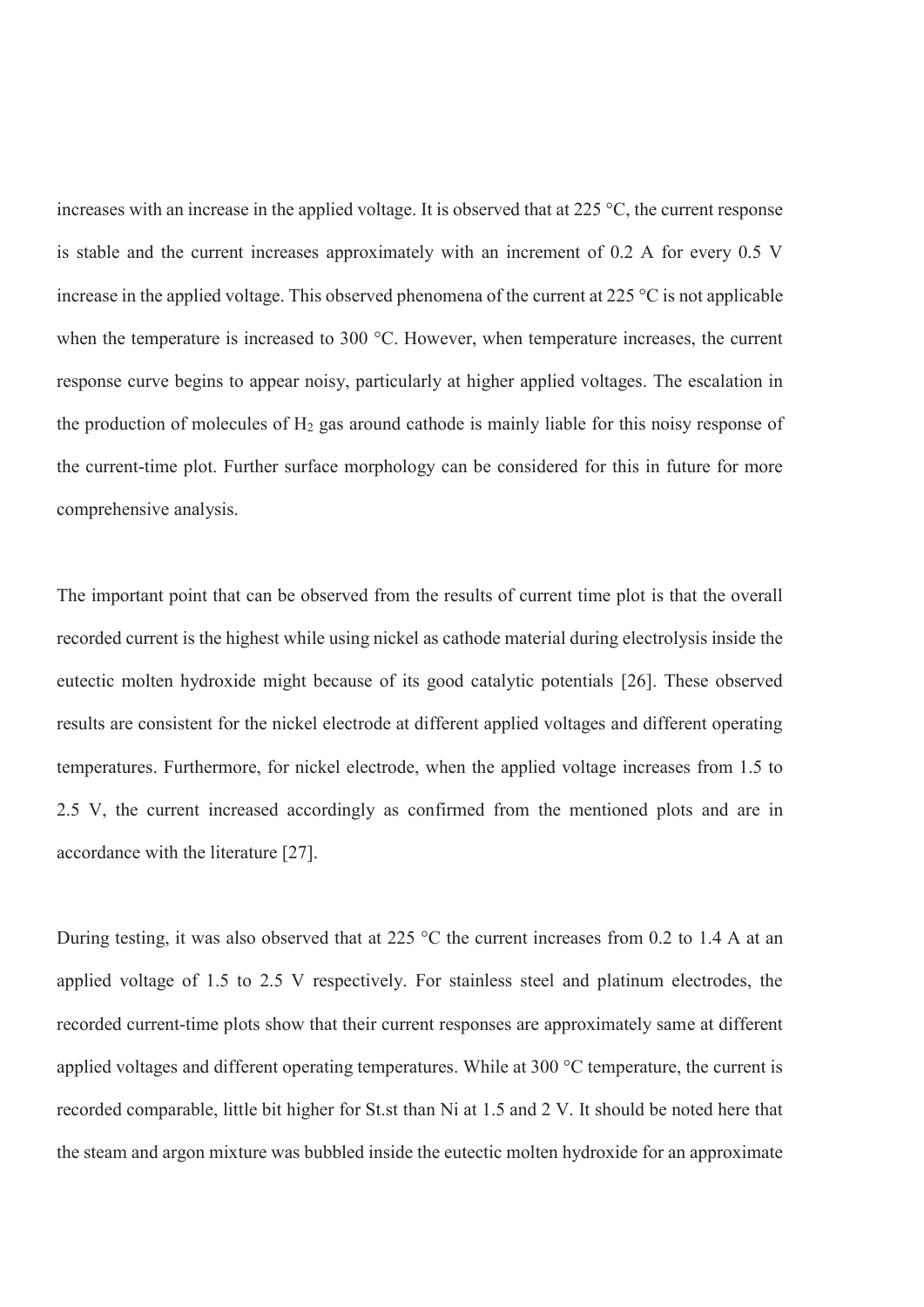increases with an increase in the applied voltage. It is observed that at 225 °C, the current response is stable and the current increases approximately with an increment of 0.2 A for every 0.5 V increase in the applied voltage. This observed phenomena of the current at 225 °C is not applicable when the temperature is increased to 300 °C. However, when temperature increases, the current response curve begins to appear noisy, particularly at higher applied voltages. The escalation in the production of molecules of  $H_2$  gas around cathode is mainly liable for this noisy response of the current-time plot. Further surface morphology can be considered for this in future for more comprehensive analysis.

The important point that can be observed from the results of current time plot is that the overall recorded current is the highest while using nickel as cathode material during electrolysis inside the eutectic molten hydroxide might because of its good catalytic potentials [26]. These observed results are consistent for the nickel electrode at different applied voltages and different operating temperatures. Furthermore, for nickel electrode, when the applied voltage increases from 1.5 to 2.5 V, the current increased accordingly as confirmed from the mentioned plots and are in accordance with the literature [27].

During testing, it was also observed that at 225 °C the current increases from 0.2 to 1.4 A at an applied voltage of 1.5 to 2.5 V respectively. For stainless steel and platinum electrodes, the recorded current-time plots show that their current responses are approximately same at different applied voltages and different operating temperatures. While at 300 °C temperature, the current is recorded comparable, little bit higher for St.st than Ni at 1.5 and 2 V. It should be noted here that the steam and argon mixture was bubbled inside the eutectic molten hydroxide for an approximate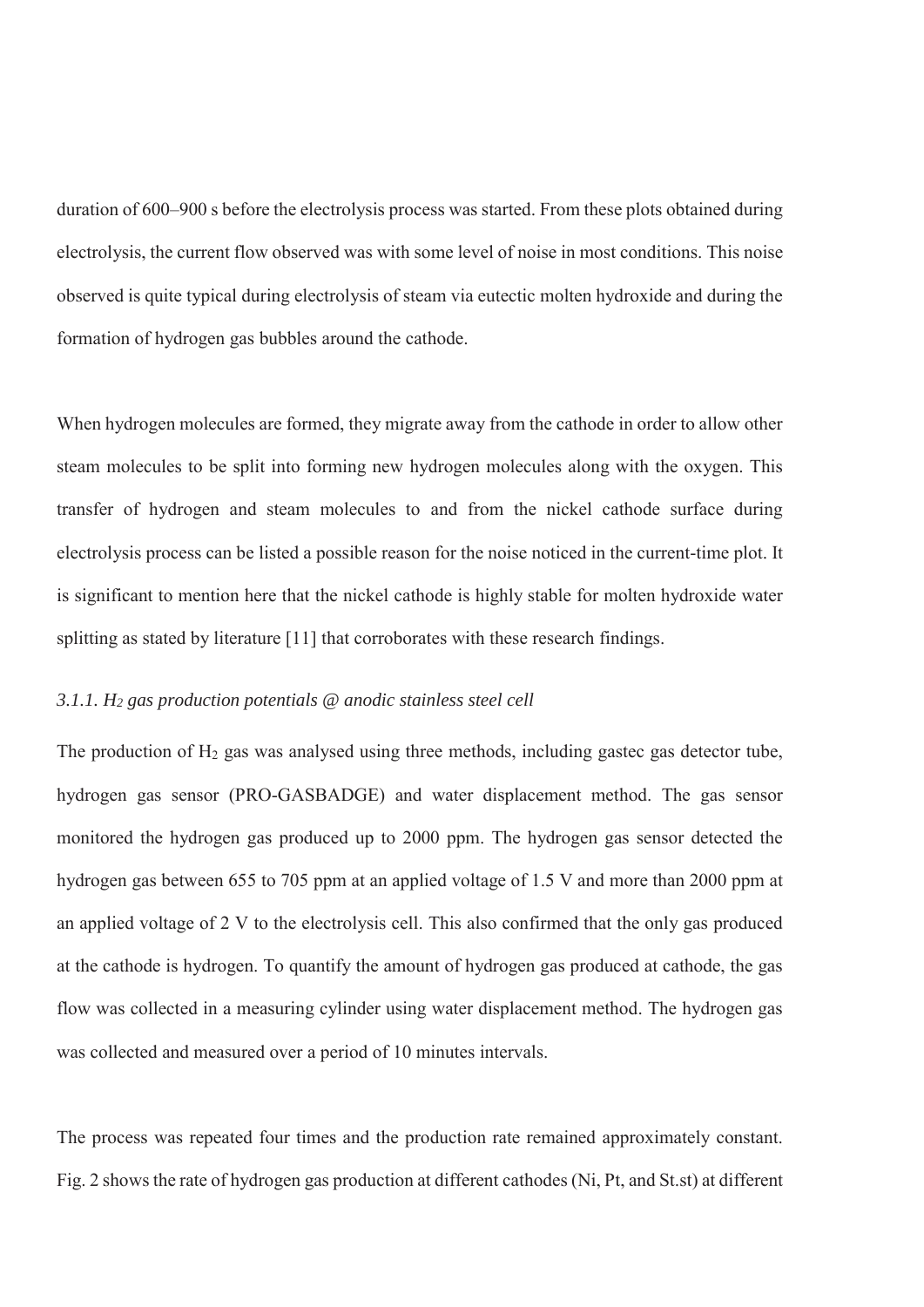duration of 600–900 s before the electrolysis process was started. From these plots obtained during electrolysis, the current flow observed was with some level of noise in most conditions. This noise observed is quite typical during electrolysis of steam via eutectic molten hydroxide and during the formation of hydrogen gas bubbles around the cathode.

When hydrogen molecules are formed, they migrate away from the cathode in order to allow other steam molecules to be split into forming new hydrogen molecules along with the oxygen. This transfer of hydrogen and steam molecules to and from the nickel cathode surface during electrolysis process can be listed a possible reason for the noise noticed in the current-time plot. It is significant to mention here that the nickel cathode is highly stable for molten hydroxide water splitting as stated by literature [11] that corroborates with these research findings.

#### *3.1.1. H2 gas production potentials @ anodic stainless steel cell*

The production of  $H_2$  gas was analysed using three methods, including gastec gas detector tube, hydrogen gas sensor (PRO-GASBADGE) and water displacement method. The gas sensor monitored the hydrogen gas produced up to 2000 ppm. The hydrogen gas sensor detected the hydrogen gas between 655 to 705 ppm at an applied voltage of 1.5 V and more than 2000 ppm at an applied voltage of 2 V to the electrolysis cell. This also confirmed that the only gas produced at the cathode is hydrogen. To quantify the amount of hydrogen gas produced at cathode, the gas flow was collected in a measuring cylinder using water displacement method. The hydrogen gas was collected and measured over a period of 10 minutes intervals.

The process was repeated four times and the production rate remained approximately constant. Fig. 2 shows the rate of hydrogen gas production at different cathodes (Ni, Pt, and St.st) at different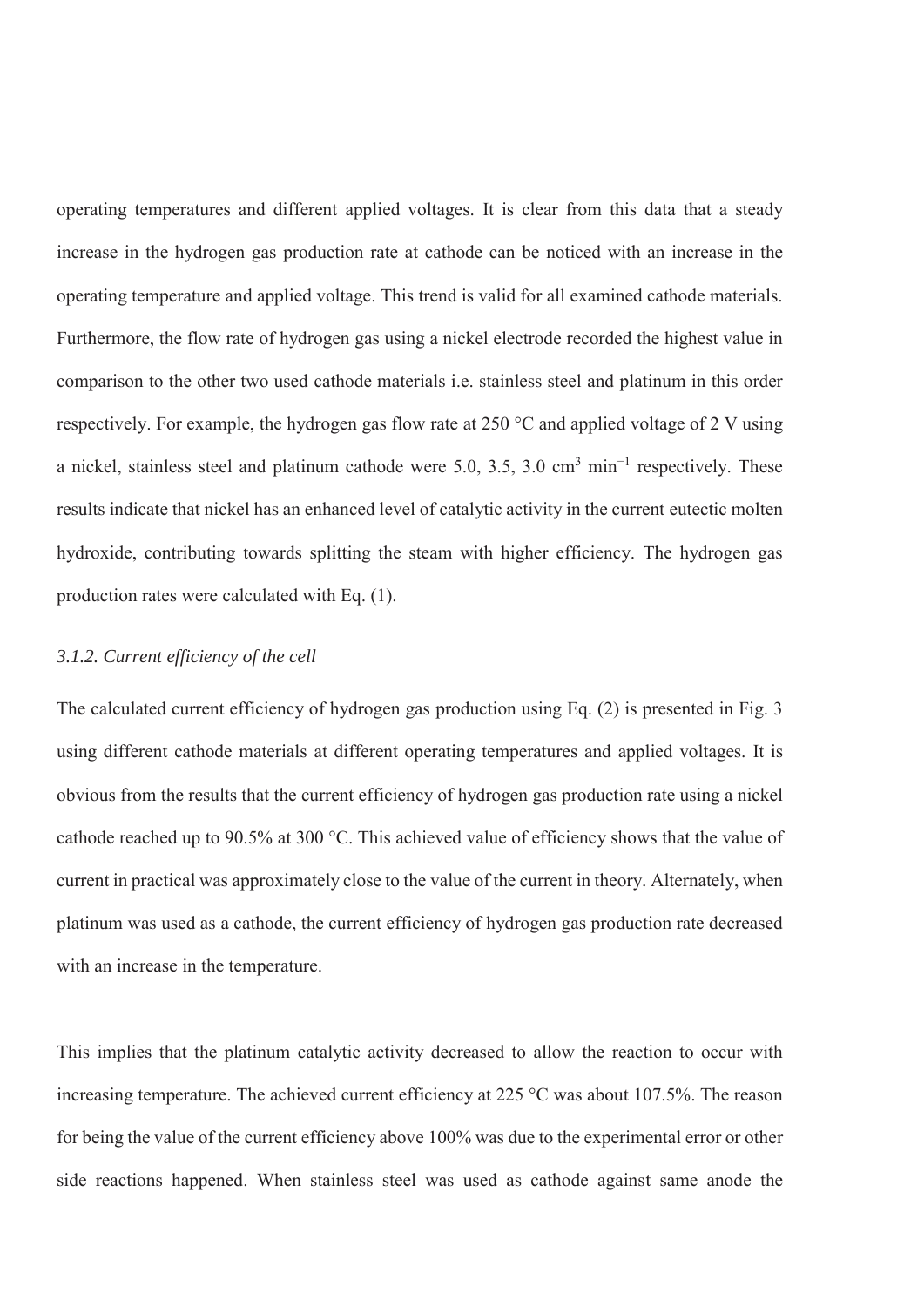operating temperatures and different applied voltages. It is clear from this data that a steady increase in the hydrogen gas production rate at cathode can be noticed with an increase in the operating temperature and applied voltage. This trend is valid for all examined cathode materials. Furthermore, the flow rate of hydrogen gas using a nickel electrode recorded the highest value in comparison to the other two used cathode materials i.e. stainless steel and platinum in this order respectively. For example, the hydrogen gas flow rate at 250 °C and applied voltage of 2 V using a nickel, stainless steel and platinum cathode were 5.0, 3.5, 3.0 cm<sup>3</sup> min<sup>-1</sup> respectively. These results indicate that nickel has an enhanced level of catalytic activity in the current eutectic molten hydroxide, contributing towards splitting the steam with higher efficiency. The hydrogen gas production rates were calculated with Eq. (1).

#### *3.1.2. Current efficiency of the cell*

The calculated current efficiency of hydrogen gas production using Eq. (2) is presented in Fig. 3 using different cathode materials at different operating temperatures and applied voltages. It is obvious from the results that the current efficiency of hydrogen gas production rate using a nickel cathode reached up to 90.5% at 300 °C. This achieved value of efficiency shows that the value of current in practical was approximately close to the value of the current in theory. Alternately, when platinum was used as a cathode, the current efficiency of hydrogen gas production rate decreased with an increase in the temperature.

This implies that the platinum catalytic activity decreased to allow the reaction to occur with increasing temperature. The achieved current efficiency at 225 °C was about 107.5%. The reason for being the value of the current efficiency above 100% was due to the experimental error or other side reactions happened. When stainless steel was used as cathode against same anode the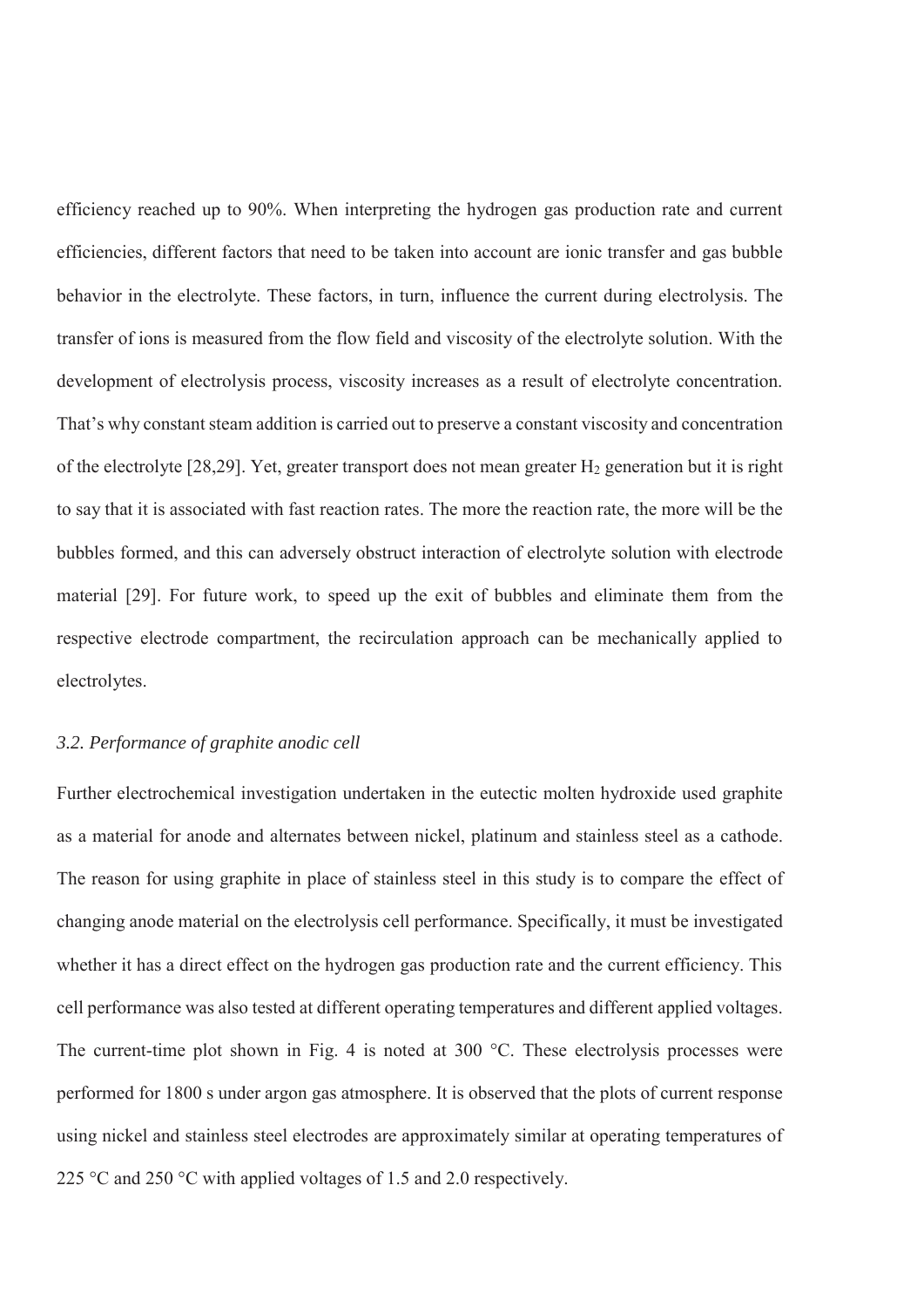efficiency reached up to 90%. When interpreting the hydrogen gas production rate and current efficiencies, different factors that need to be taken into account are ionic transfer and gas bubble behavior in the electrolyte. These factors, in turn, influence the current during electrolysis. The transfer of ions is measured from the flow field and viscosity of the electrolyte solution. With the development of electrolysis process, viscosity increases as a result of electrolyte concentration. That's why constant steam addition is carried out to preserve a constant viscosity and concentration of the electrolyte [28,29]. Yet, greater transport does not mean greater H2 generation but it is right to say that it is associated with fast reaction rates. The more the reaction rate, the more will be the bubbles formed, and this can adversely obstruct interaction of electrolyte solution with electrode material [29]. For future work, to speed up the exit of bubbles and eliminate them from the respective electrode compartment, the recirculation approach can be mechanically applied to electrolytes.

#### *3.2. Performance of graphite anodic cell*

Further electrochemical investigation undertaken in the eutectic molten hydroxide used graphite as a material for anode and alternates between nickel, platinum and stainless steel as a cathode. The reason for using graphite in place of stainless steel in this study is to compare the effect of changing anode material on the electrolysis cell performance. Specifically, it must be investigated whether it has a direct effect on the hydrogen gas production rate and the current efficiency. This cell performance was also tested at different operating temperatures and different applied voltages. The current-time plot shown in Fig. 4 is noted at 300 °C. These electrolysis processes were performed for 1800 s under argon gas atmosphere. It is observed that the plots of current response using nickel and stainless steel electrodes are approximately similar at operating temperatures of 225 °C and 250 °C with applied voltages of 1.5 and 2.0 respectively.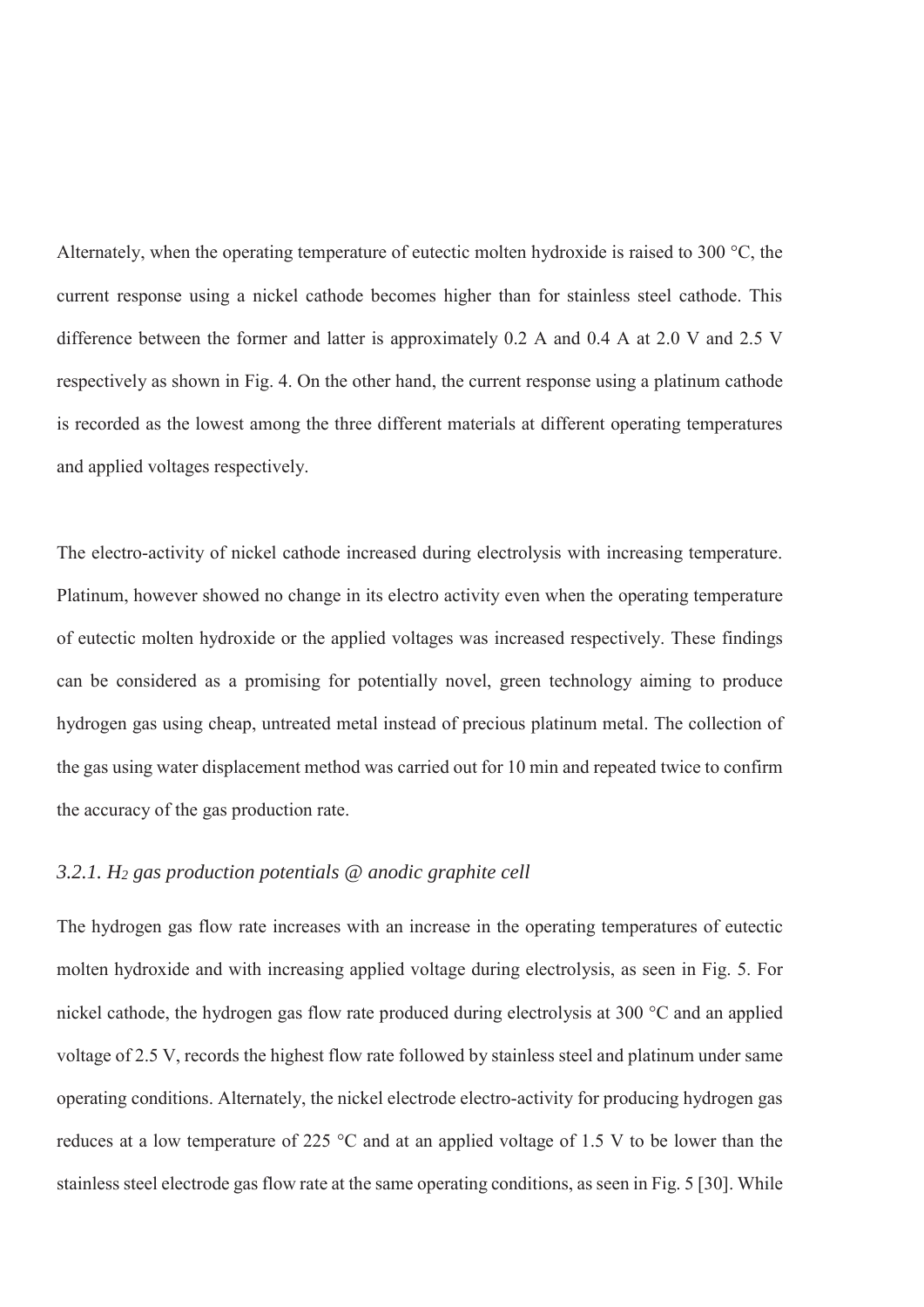Alternately, when the operating temperature of eutectic molten hydroxide is raised to 300 °C, the current response using a nickel cathode becomes higher than for stainless steel cathode. This difference between the former and latter is approximately 0.2 A and 0.4 A at 2.0 V and 2.5 V respectively as shown in Fig. 4. On the other hand, the current response using a platinum cathode is recorded as the lowest among the three different materials at different operating temperatures and applied voltages respectively.

The electro-activity of nickel cathode increased during electrolysis with increasing temperature. Platinum, however showed no change in its electro activity even when the operating temperature of eutectic molten hydroxide or the applied voltages was increased respectively. These findings can be considered as a promising for potentially novel, green technology aiming to produce hydrogen gas using cheap, untreated metal instead of precious platinum metal. The collection of the gas using water displacement method was carried out for 10 min and repeated twice to confirm the accuracy of the gas production rate.

#### *3.2.1. H2 gas production potentials @ anodic graphite cell*

The hydrogen gas flow rate increases with an increase in the operating temperatures of eutectic molten hydroxide and with increasing applied voltage during electrolysis, as seen in Fig. 5. For nickel cathode, the hydrogen gas flow rate produced during electrolysis at 300 °C and an applied voltage of 2.5 V, records the highest flow rate followed by stainless steel and platinum under same operating conditions. Alternately, the nickel electrode electro-activity for producing hydrogen gas reduces at a low temperature of 225 °C and at an applied voltage of 1.5 V to be lower than the stainless steel electrode gas flow rate at the same operating conditions, as seen in Fig. 5 [30]. While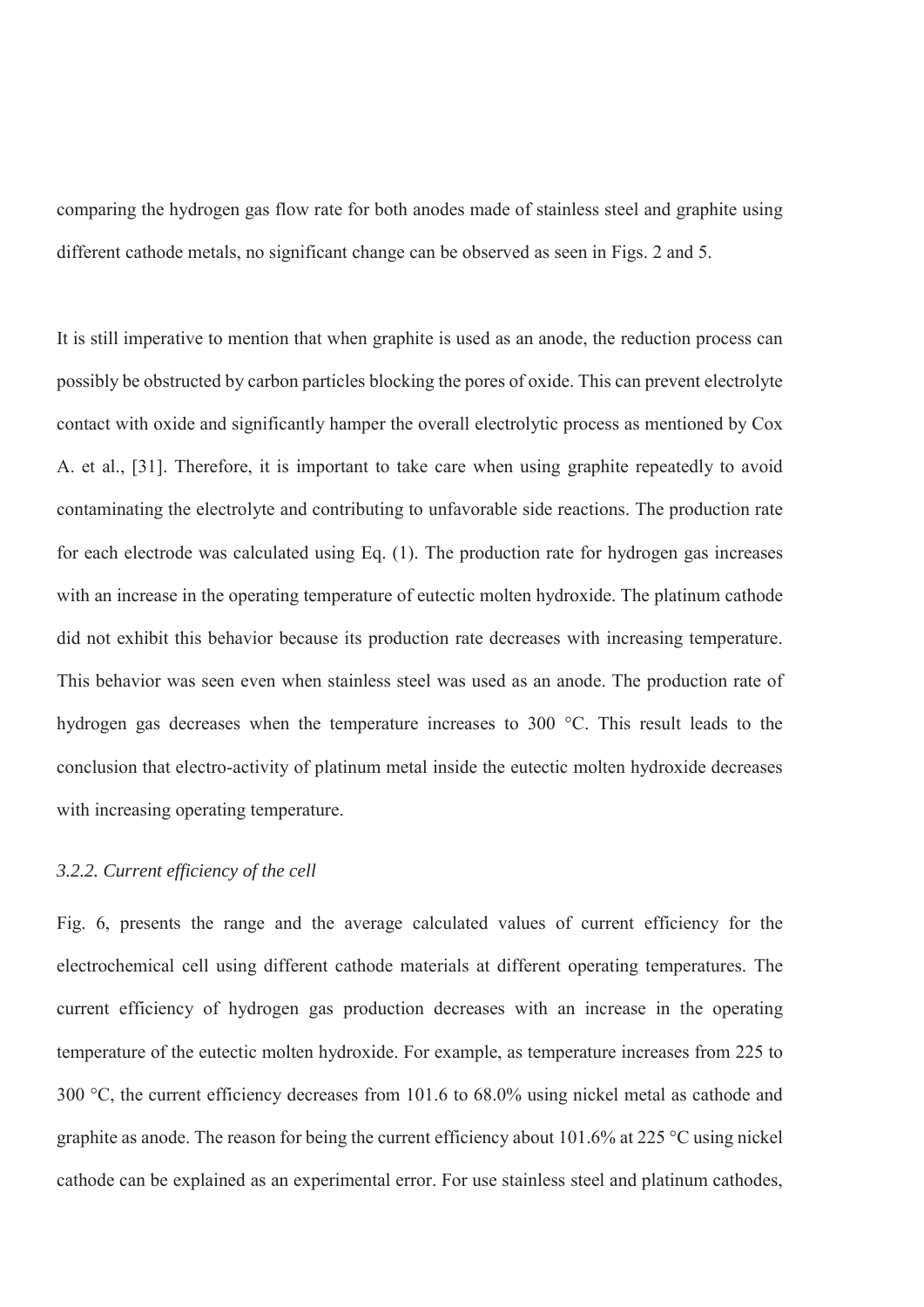comparing the hydrogen gas flow rate for both anodes made of stainless steel and graphite using different cathode metals, no significant change can be observed as seen in Figs. 2 and 5.

It is still imperative to mention that when graphite is used as an anode, the reduction process can possibly be obstructed by carbon particles blocking the pores of oxide. This can prevent electrolyte contact with oxide and significantly hamper the overall electrolytic process as mentioned by Cox A. et al., [31]. Therefore, it is important to take care when using graphite repeatedly to avoid contaminating the electrolyte and contributing to unfavorable side reactions. The production rate for each electrode was calculated using Eq. (1). The production rate for hydrogen gas increases with an increase in the operating temperature of eutectic molten hydroxide. The platinum cathode did not exhibit this behavior because its production rate decreases with increasing temperature. This behavior was seen even when stainless steel was used as an anode. The production rate of hydrogen gas decreases when the temperature increases to 300 °C. This result leads to the conclusion that electro-activity of platinum metal inside the eutectic molten hydroxide decreases with increasing operating temperature.

#### *3.2.2. Current efficiency of the cell*

Fig. 6, presents the range and the average calculated values of current efficiency for the electrochemical cell using different cathode materials at different operating temperatures. The current efficiency of hydrogen gas production decreases with an increase in the operating temperature of the eutectic molten hydroxide. For example, as temperature increases from 225 to 300 °C, the current efficiency decreases from 101.6 to 68.0% using nickel metal as cathode and graphite as anode. The reason for being the current efficiency about 101.6% at 225 °C using nickel cathode can be explained as an experimental error. For use stainless steel and platinum cathodes,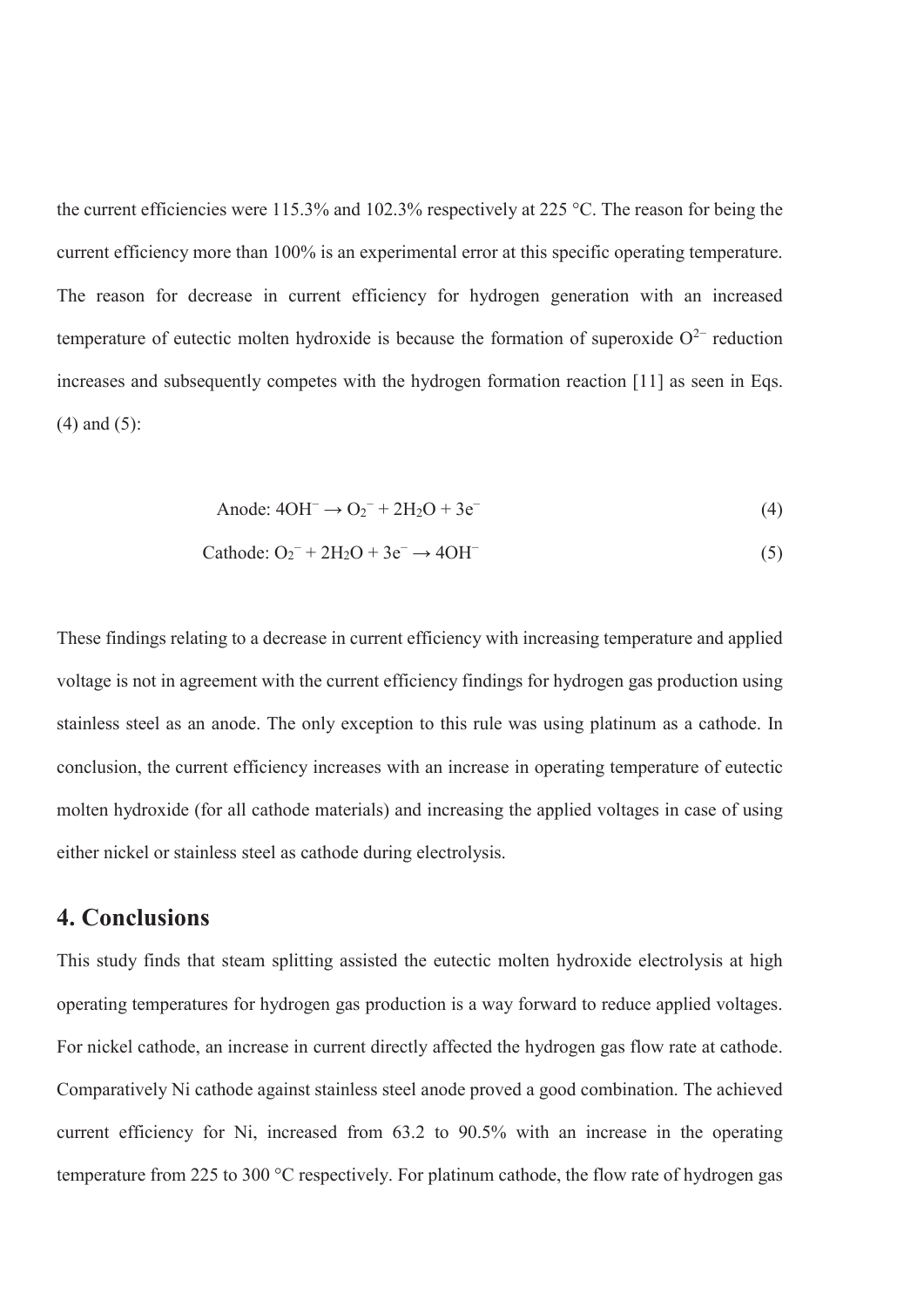the current efficiencies were 115.3% and 102.3% respectively at 225 °C. The reason for being the current efficiency more than 100% is an experimental error at this specific operating temperature. The reason for decrease in current efficiency for hydrogen generation with an increased temperature of eutectic molten hydroxide is because the formation of superoxide  $O^{2-}$  reduction increases and subsequently competes with the hydrogen formation reaction [11] as seen in Eqs. (4) and (5):

Anode: 
$$
4OH^-
$$
 →  $O_2^-$  +  $2H_2O$  +  $3e^-$  (4)

Cathode: 
$$
O_2^-
$$
 + 2H<sub>2</sub>O + 3e<sup>-</sup>  $\rightarrow$  4OH<sup>-</sup> (5)

These findings relating to a decrease in current efficiency with increasing temperature and applied voltage is not in agreement with the current efficiency findings for hydrogen gas production using stainless steel as an anode. The only exception to this rule was using platinum as a cathode. In conclusion, the current efficiency increases with an increase in operating temperature of eutectic molten hydroxide (for all cathode materials) and increasing the applied voltages in case of using either nickel or stainless steel as cathode during electrolysis.

### **4. Conclusions**

This study finds that steam splitting assisted the eutectic molten hydroxide electrolysis at high operating temperatures for hydrogen gas production is a way forward to reduce applied voltages. For nickel cathode, an increase in current directly affected the hydrogen gas flow rate at cathode. Comparatively Ni cathode against stainless steel anode proved a good combination. The achieved current efficiency for Ni, increased from 63.2 to 90.5% with an increase in the operating temperature from 225 to 300 °C respectively. For platinum cathode, the flow rate of hydrogen gas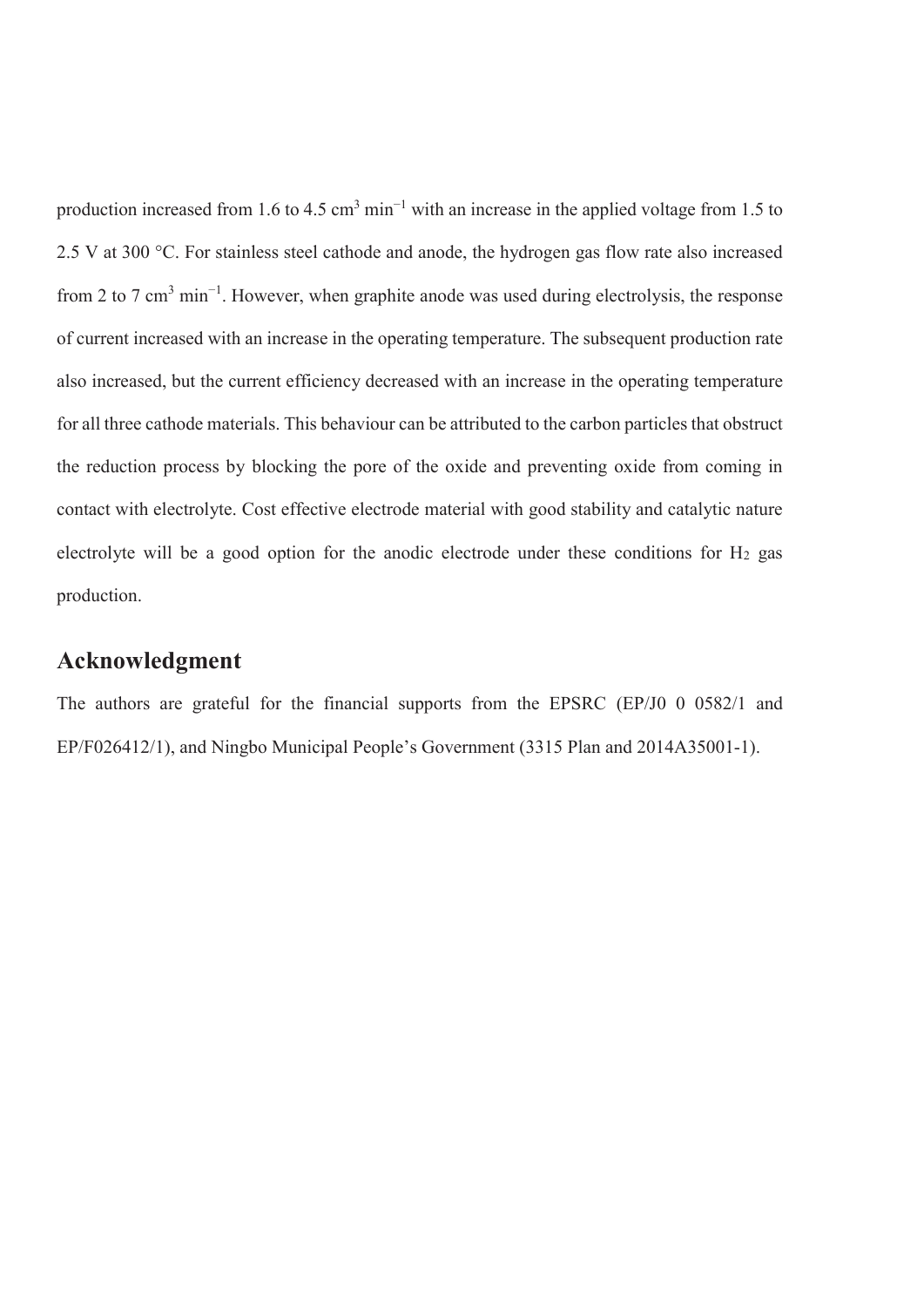production increased from 1.6 to 4.5 cm<sup>3</sup> min<sup>-1</sup> with an increase in the applied voltage from 1.5 to 2.5 V at 300 °C. For stainless steel cathode and anode, the hydrogen gas flow rate also increased from 2 to 7 cm<sup>3</sup> min<sup>-1</sup>. However, when graphite anode was used during electrolysis, the response of current increased with an increase in the operating temperature. The subsequent production rate also increased, but the current efficiency decreased with an increase in the operating temperature for all three cathode materials. This behaviour can be attributed to the carbon particles that obstruct the reduction process by blocking the pore of the oxide and preventing oxide from coming in contact with electrolyte. Cost effective electrode material with good stability and catalytic nature electrolyte will be a good option for the anodic electrode under these conditions for  $H_2$  gas production.

## **Acknowledgment**

The authors are grateful for the financial supports from the EPSRC (EP/J0 0 0582/1 and EP/F026412/1), and Ningbo Municipal People's Government (3315 Plan and 2014A35001-1).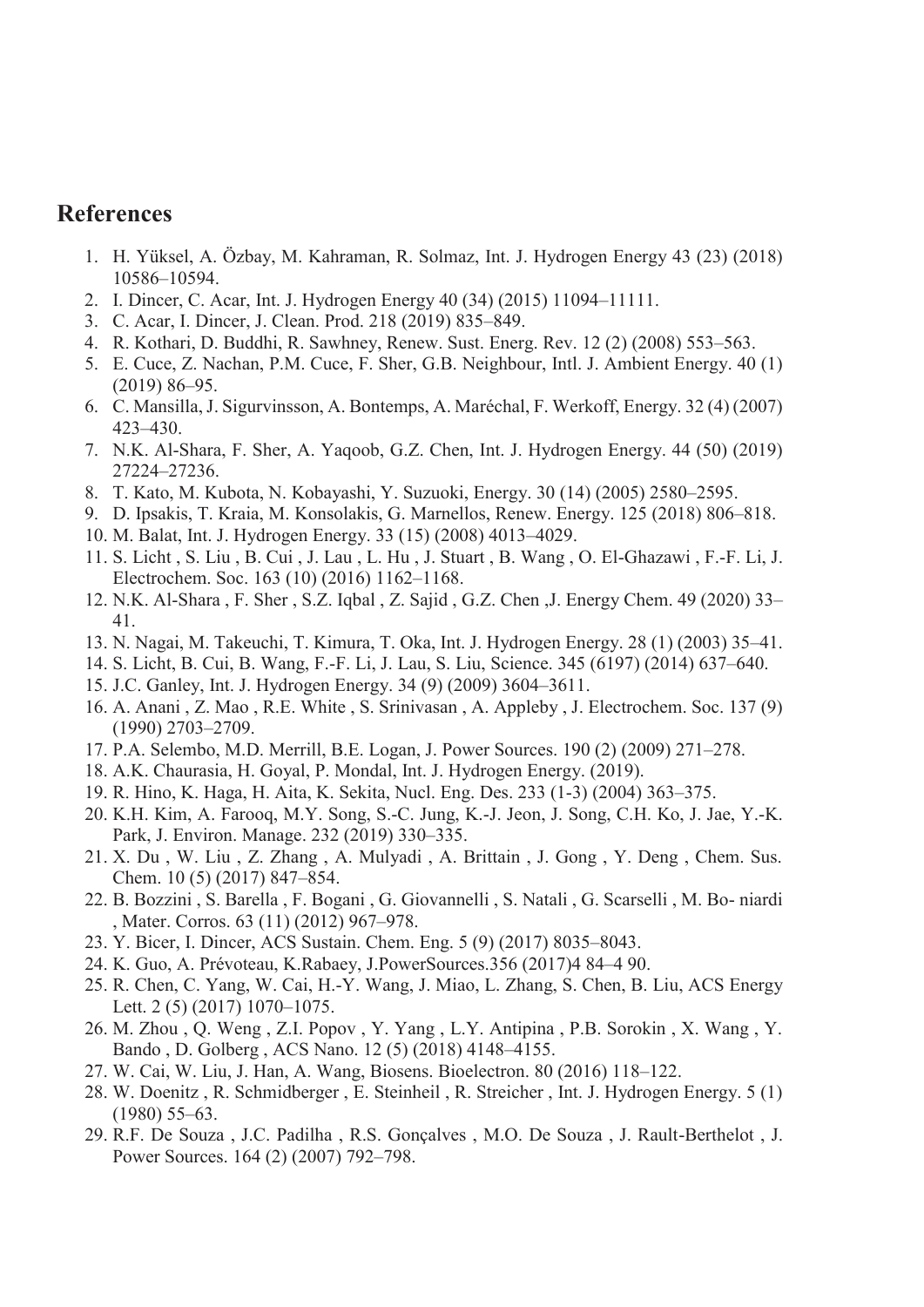# **References**

- 1. H. Yüksel, A. Özbay, M. Kahraman, R. Solmaz, Int. J. Hydrogen Energy 43 (23) (2018) 10586–10594.
- 2. I. Dincer, C. Acar, Int. J. Hydrogen Energy 40 (34) (2015) 11094–11111.
- 3. C. Acar, I. Dincer, J. Clean. Prod. 218 (2019) 835–849.
- 4. R. Kothari, D. Buddhi, R. Sawhney, Renew. Sust. Energ. Rev. 12 (2) (2008) 553–563.
- 5. E. Cuce, Z. Nachan, P.M. Cuce, F. Sher, G.B. Neighbour, Intl. J. Ambient Energy. 40 (1) (2019) 86–95.
- 6. C. Mansilla, J. Sigurvinsson, A. Bontemps, A. Maréchal, F. Werkoff, Energy. 32 (4) (2007) 423–430.
- 7. N.K. Al-Shara, F. Sher, A. Yaqoob, G.Z. Chen, Int. J. Hydrogen Energy. 44 (50) (2019) 27224–27236.
- 8. T. Kato, M. Kubota, N. Kobayashi, Y. Suzuoki, Energy. 30 (14) (2005) 2580–2595.
- 9. D. Ipsakis, T. Kraia, M. Konsolakis, G. Marnellos, Renew. Energy. 125 (2018) 806–818.
- 10. M. Balat, Int. J. Hydrogen Energy. 33 (15) (2008) 4013–4029.
- 11. S. Licht , S. Liu , B. Cui , J. Lau , L. Hu , J. Stuart , B. Wang , O. El-Ghazawi , F.-F. Li, J. Electrochem. Soc. 163 (10) (2016) 1162–1168.
- 12. N.K. Al-Shara , F. Sher , S.Z. Iqbal , Z. Sajid , G.Z. Chen ,J. Energy Chem. 49 (2020) 33– 41.
- 13. N. Nagai, M. Takeuchi, T. Kimura, T. Oka, Int. J. Hydrogen Energy. 28 (1) (2003) 35–41.
- 14. S. Licht, B. Cui, B. Wang, F.-F. Li, J. Lau, S. Liu, Science. 345 (6197) (2014) 637–640.
- 15. J.C. Ganley, Int. J. Hydrogen Energy. 34 (9) (2009) 3604–3611.
- 16. A. Anani , Z. Mao , R.E. White , S. Srinivasan , A. Appleby , J. Electrochem. Soc. 137 (9) (1990) 2703–2709.
- 17. P.A. Selembo, M.D. Merrill, B.E. Logan, J. Power Sources. 190 (2) (2009) 271–278.
- 18. A.K. Chaurasia, H. Goyal, P. Mondal, Int. J. Hydrogen Energy. (2019).
- 19. R. Hino, K. Haga, H. Aita, K. Sekita, Nucl. Eng. Des. 233 (1-3) (2004) 363–375.
- 20. K.H. Kim, A. Farooq, M.Y. Song, S.-C. Jung, K.-J. Jeon, J. Song, C.H. Ko, J. Jae, Y.-K. Park, J. Environ. Manage. 232 (2019) 330–335.
- 21. X. Du , W. Liu , Z. Zhang , A. Mulyadi , A. Brittain , J. Gong , Y. Deng , Chem. Sus. Chem. 10 (5) (2017) 847–854.
- 22. B. Bozzini , S. Barella , F. Bogani , G. Giovannelli , S. Natali , G. Scarselli , M. Bo- niardi , Mater. Corros. 63 (11) (2012) 967–978.
- 23. Y. Bicer, I. Dincer, ACS Sustain. Chem. Eng. 5 (9) (2017) 8035–8043.
- 24. K. Guo, A. Prévoteau, K.Rabaey, J.PowerSources.356 (2017)4 84–4 90.
- 25. R. Chen, C. Yang, W. Cai, H.-Y. Wang, J. Miao, L. Zhang, S. Chen, B. Liu, ACS Energy Lett. 2 (5) (2017) 1070–1075.
- 26. M. Zhou , Q. Weng , Z.I. Popov , Y. Yang , L.Y. Antipina , P.B. Sorokin , X. Wang , Y. Bando , D. Golberg , ACS Nano. 12 (5) (2018) 4148–4155.
- 27. W. Cai, W. Liu, J. Han, A. Wang, Biosens. Bioelectron. 80 (2016) 118–122.
- 28. W. Doenitz , R. Schmidberger , E. Steinheil , R. Streicher , Int. J. Hydrogen Energy. 5 (1) (1980) 55–63.
- 29. R.F. De Souza , J.C. Padilha , R.S. Gonçalves , M.O. De Souza , J. Rault-Berthelot , J. Power Sources. 164 (2) (2007) 792–798.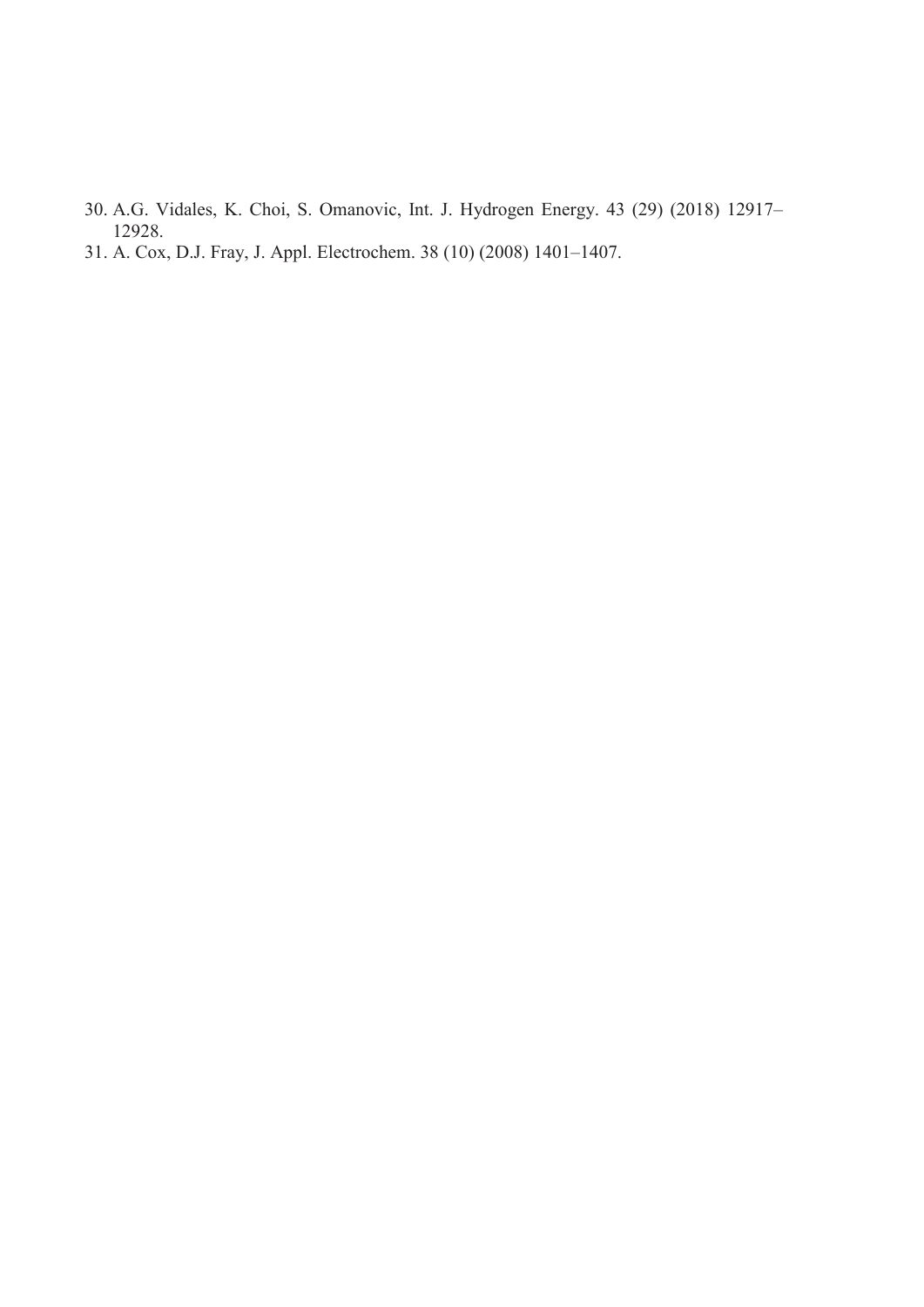- 30. A.G. Vidales, K. Choi, S. Omanovic, Int. J. Hydrogen Energy. 43 (29) (2018) 12917– 12928.
- 31. A. Cox, D.J. Fray, J. Appl. Electrochem. 38 (10) (2008) 1401–1407.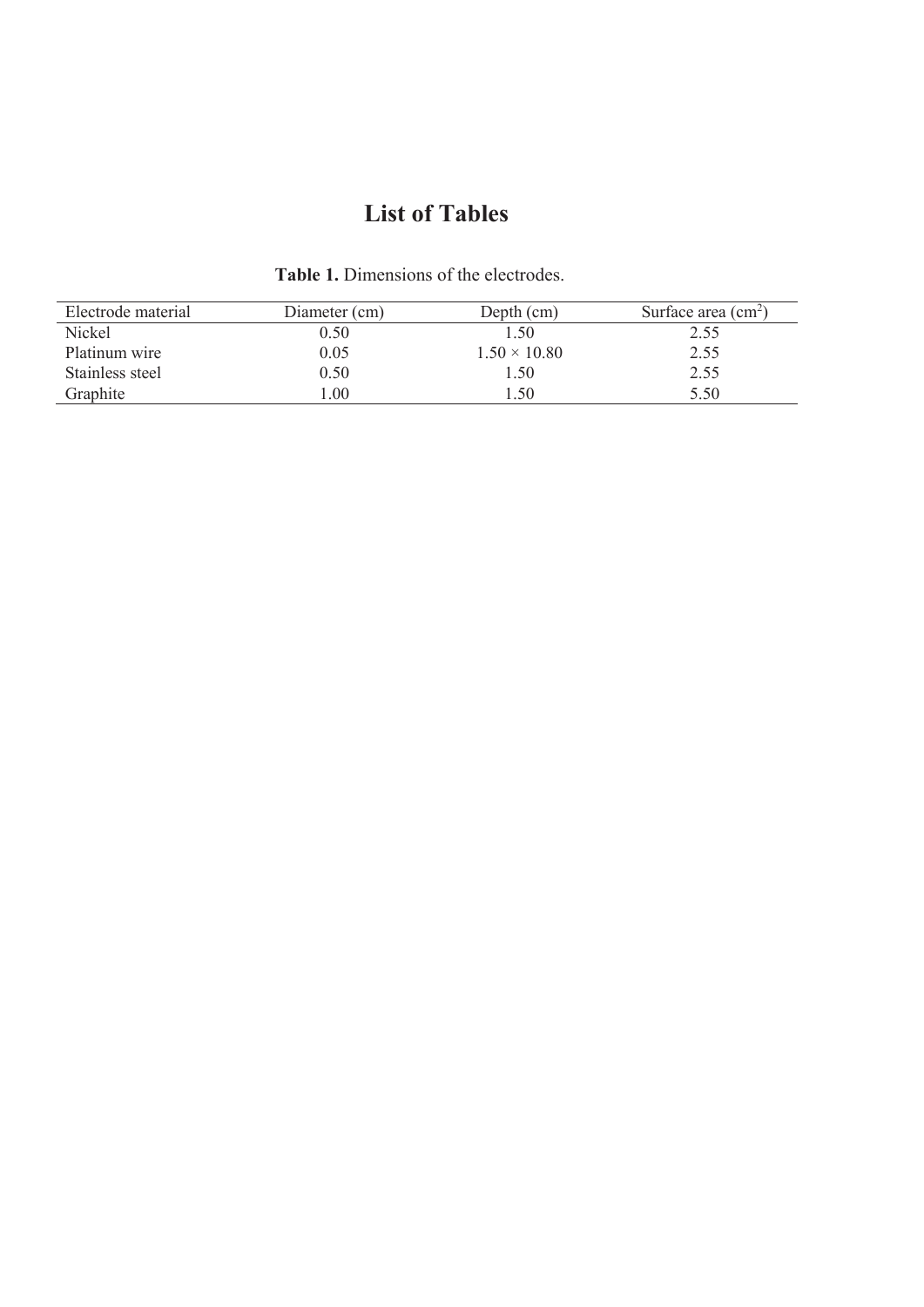# **List of Tables**

| Electrode material | Diameter (cm) | Depth (cm)          | Surface area $\text{cm}^2$ ) |
|--------------------|---------------|---------------------|------------------------------|
| Nickel             | 0.50          | 1.50                | 2.55                         |
| Platinum wire      | 0.05          | $1.50 \times 10.80$ | 2.55                         |
| Stainless steel    | 0.50          | 1.50                | 2.55                         |
| Graphite           | .00.          | . 50                | 5.50                         |

**Table 1.** Dimensions of the electrodes.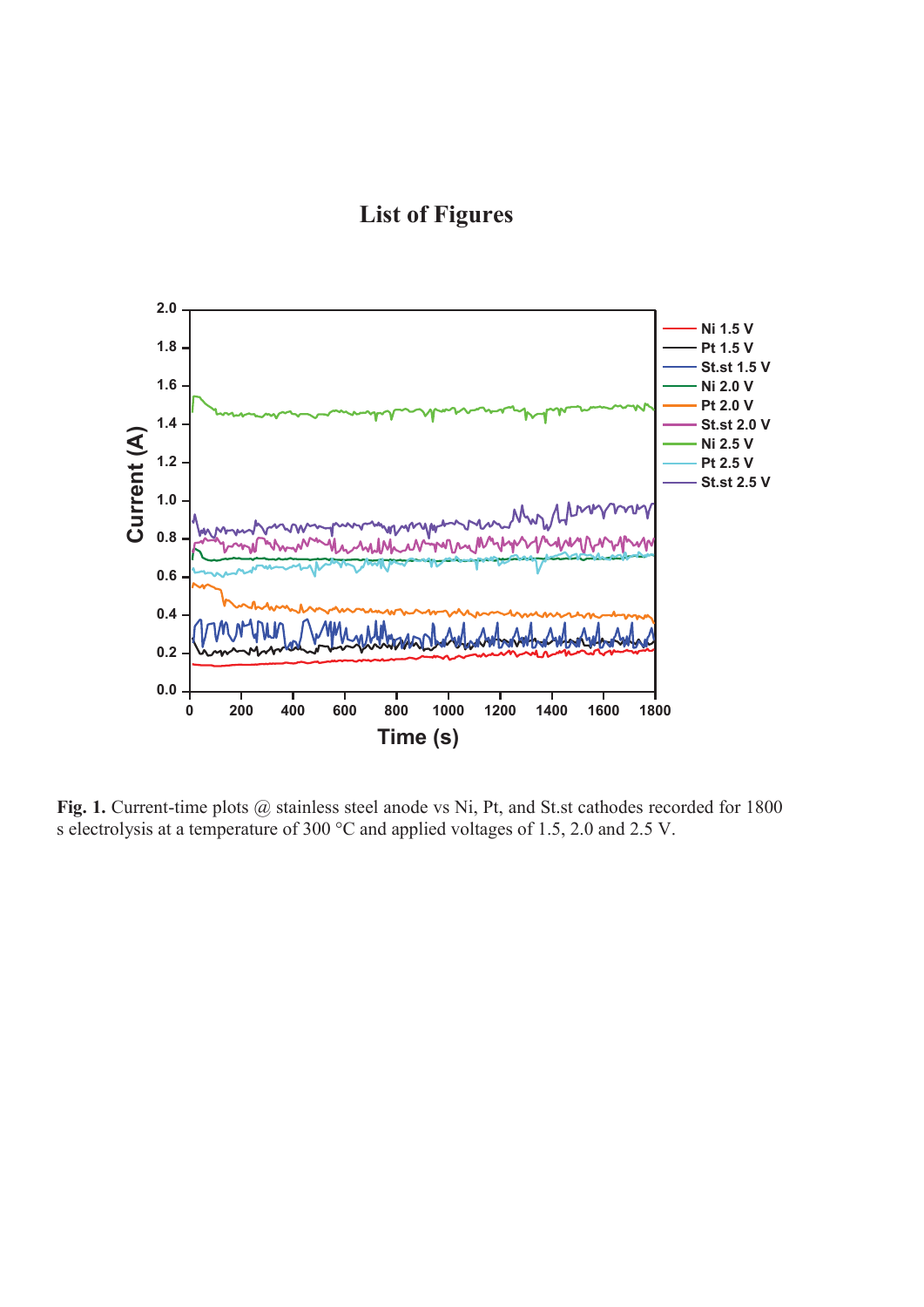**List of Figures** 



Fig. 1. Current-time plots @ stainless steel anode vs Ni, Pt, and St.st cathodes recorded for 1800 s electrolysis at a temperature of 300 °C and applied voltages of 1.5, 2.0 and 2.5 V.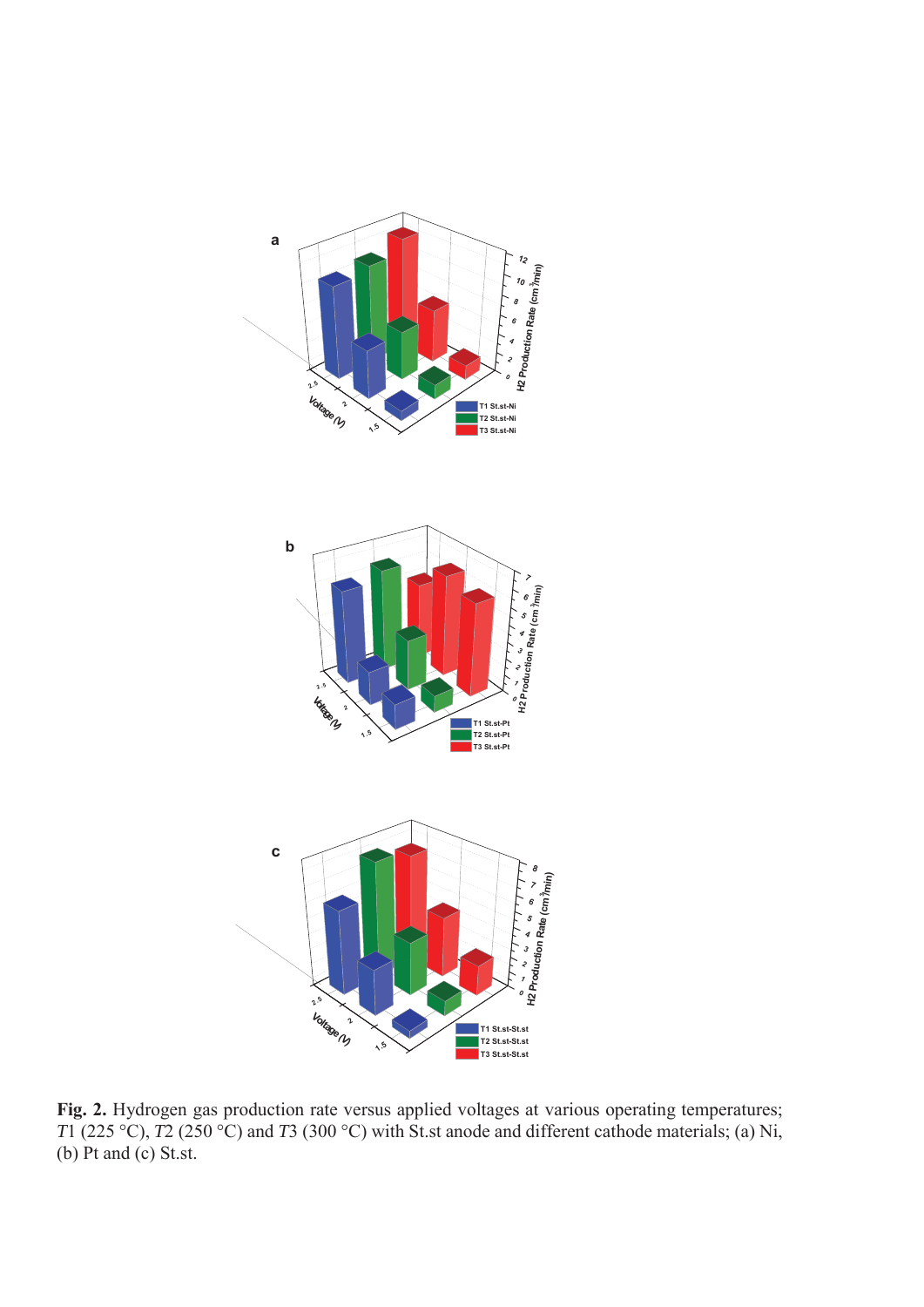

**Fig. 2.** Hydrogen gas production rate versus applied voltages at various operating temperatures; *T*1 (225 °C), *T*2 (250 °C) and *T*3 (300 °C) with St.st anode and different cathode materials; (a) Ni, (b) Pt and (c) St.st.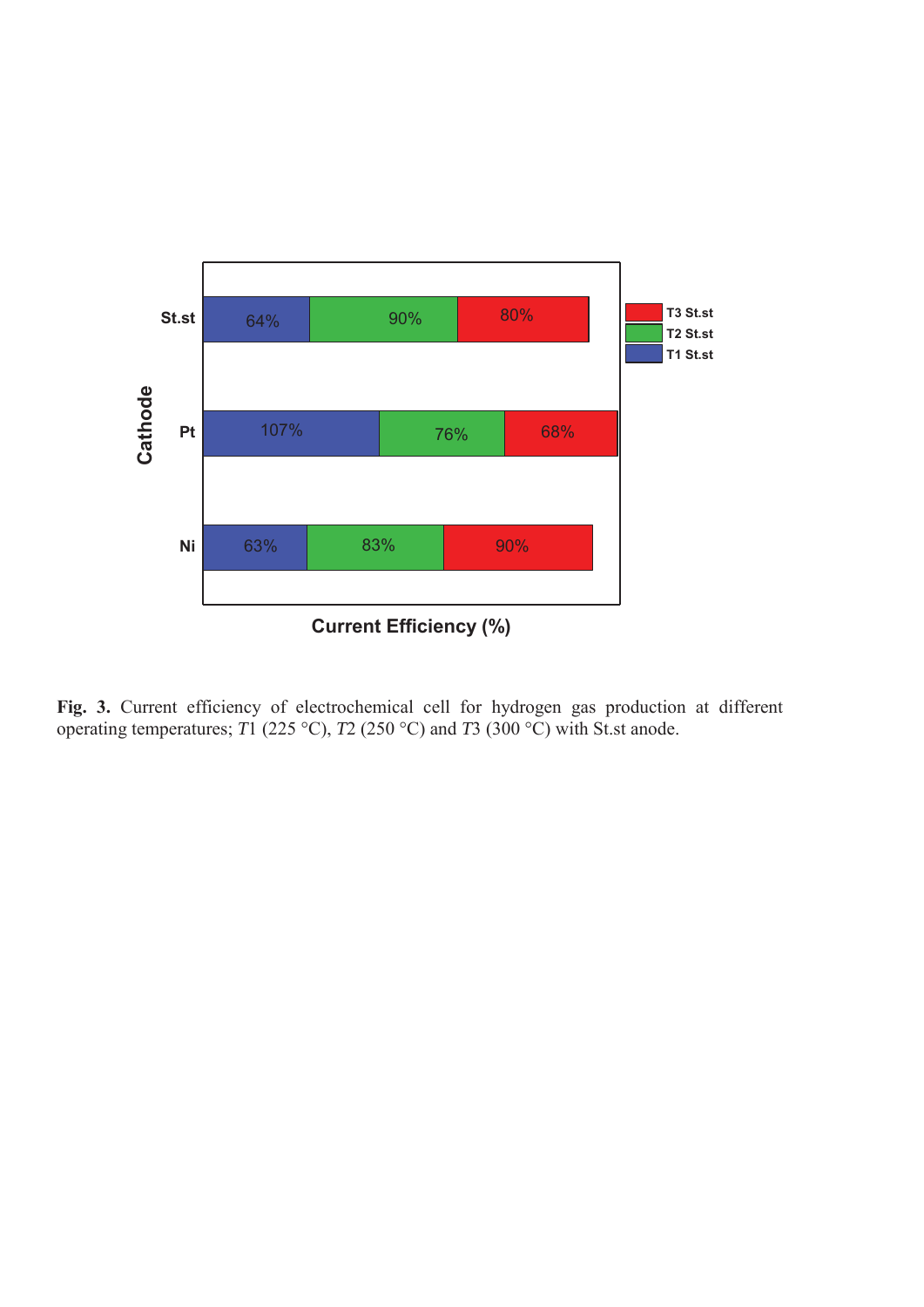

**Fig. 3.** Current efficiency of electrochemical cell for hydrogen gas production at different operating temperatures; *T*1 (225 °C), *T*2 (250 °C) and *T*3 (300 °C) with St.st anode.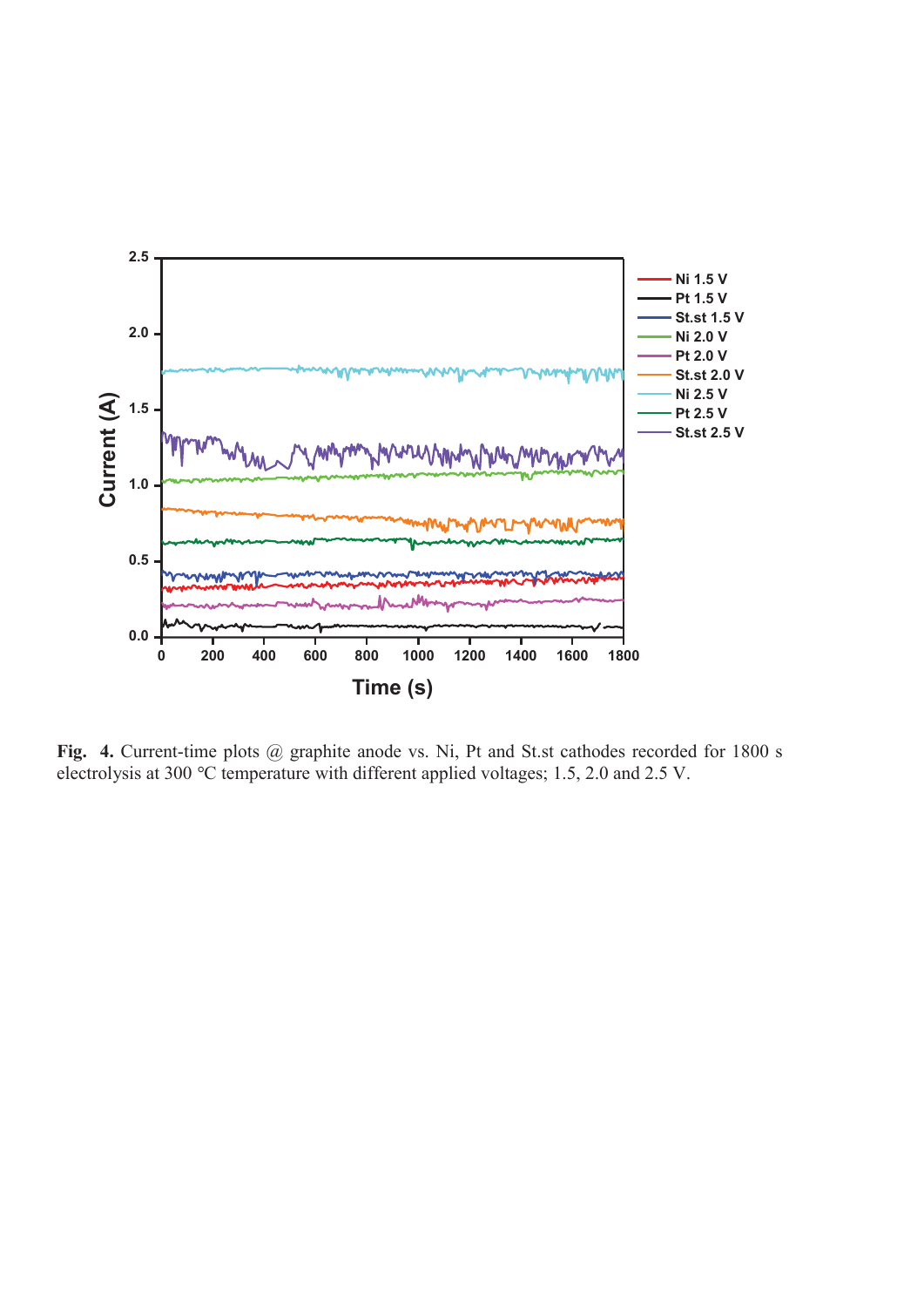

Fig. 4. Current-time plots @ graphite anode vs. Ni, Pt and St.st cathodes recorded for 1800 s electrolysis at 300 *°*C temperature with different applied voltages; 1.5, 2.0 and 2.5 V.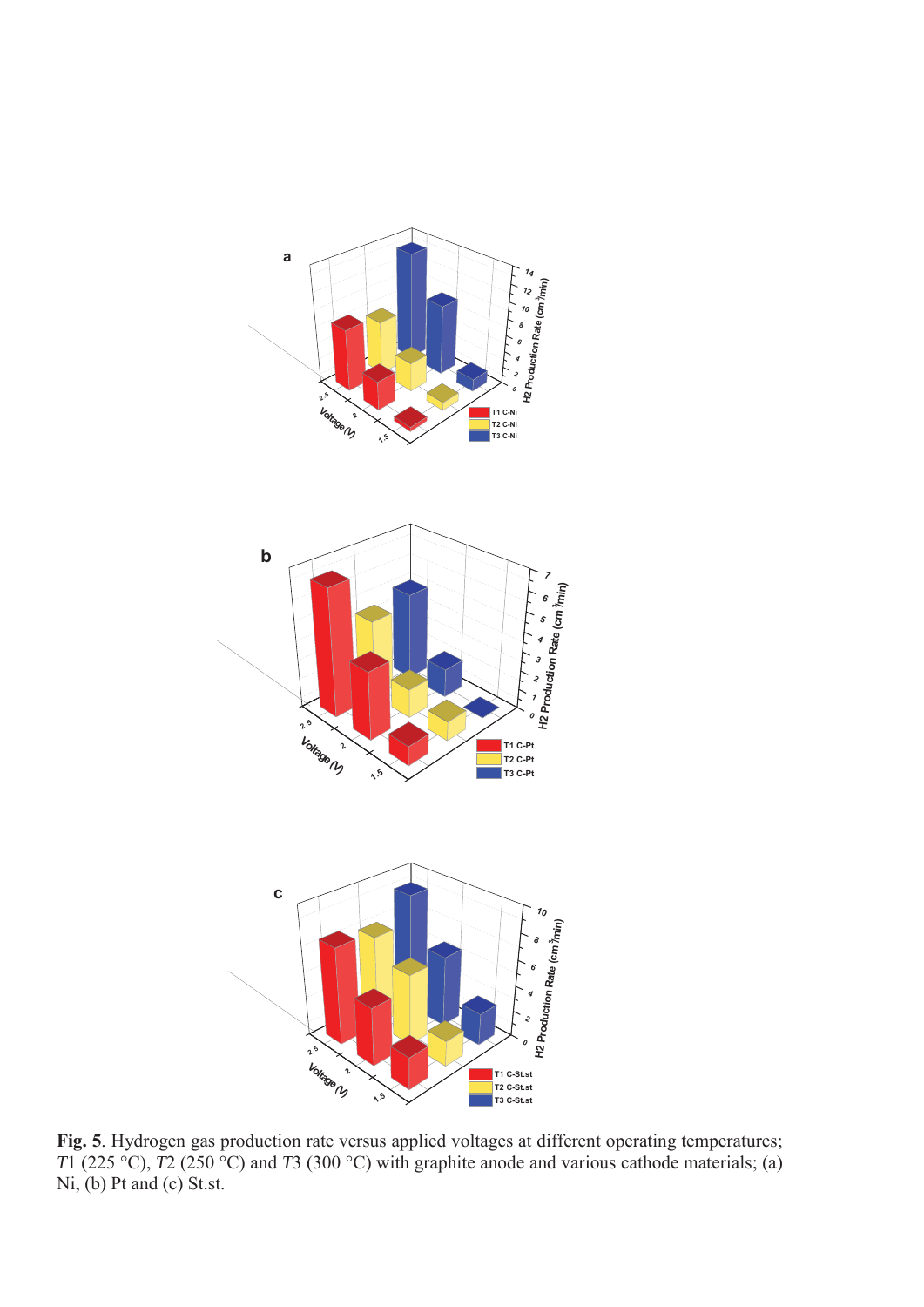

**Fig. 5**. Hydrogen gas production rate versus applied voltages at different operating temperatures; *T*1 (225 °C), *T*2 (250 °C) and *T*3 (300 °C) with graphite anode and various cathode materials; (a) Ni, (b) Pt and (c) St.st.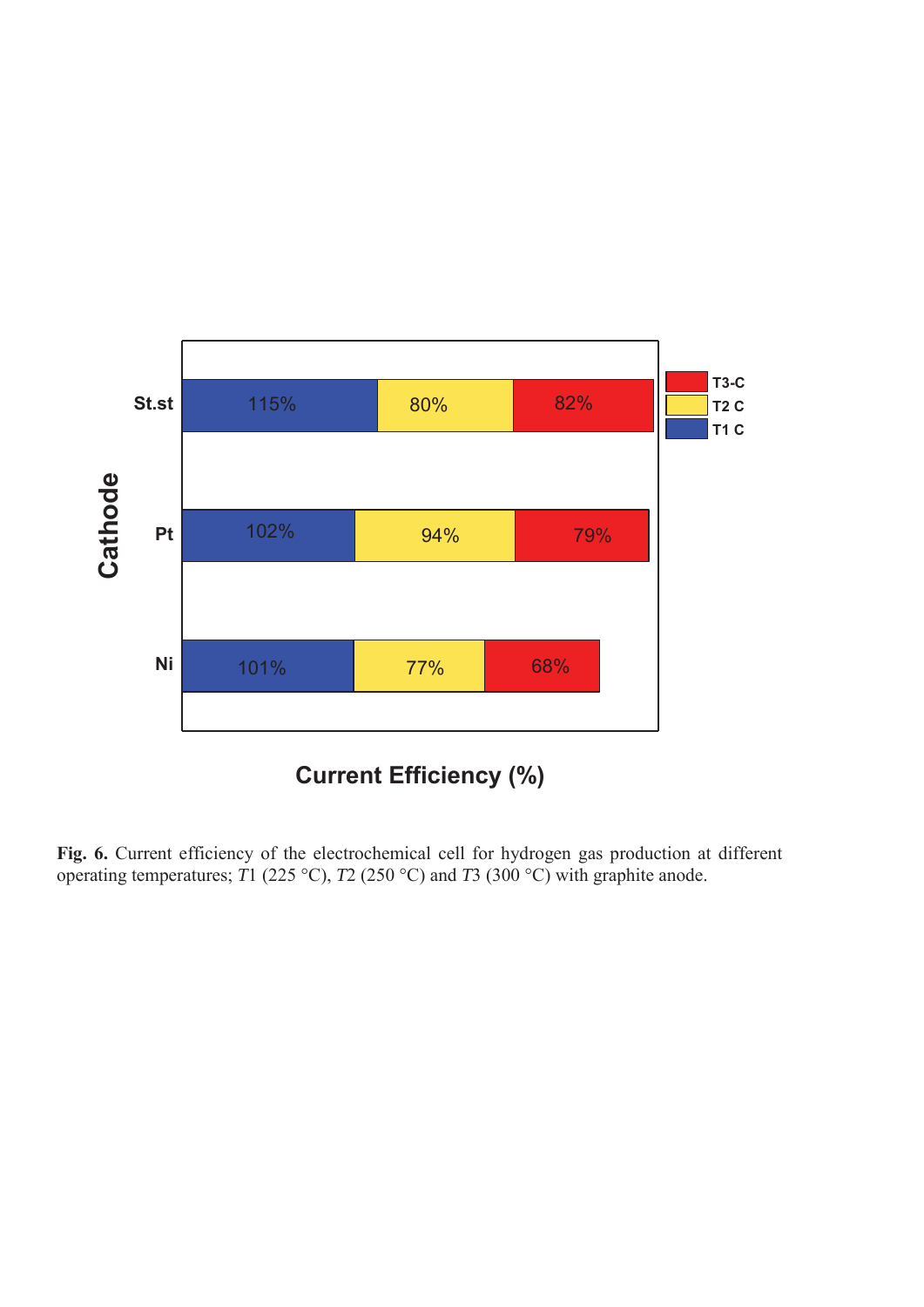

**Fig. 6.** Current efficiency of the electrochemical cell for hydrogen gas production at different operating temperatures; *T*1 (225 °C), *T*2 (250 °C) and *T*3 (300 °C) with graphite anode.